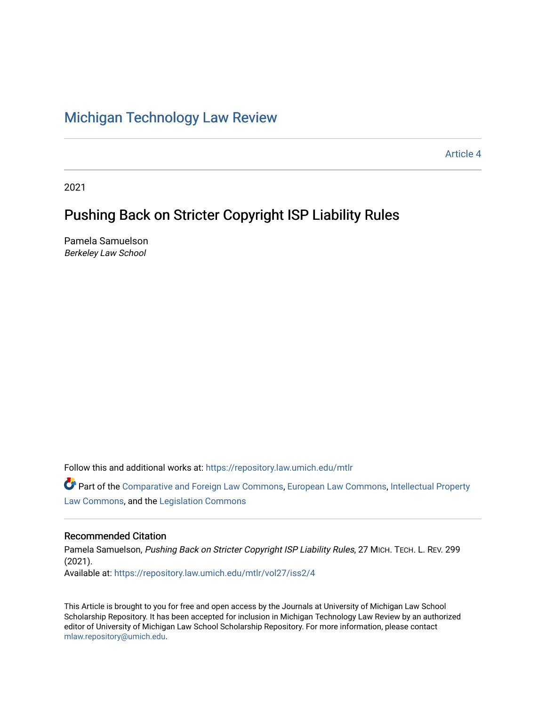## [Michigan Technology Law Review](https://repository.law.umich.edu/mtlr)

[Article 4](https://repository.law.umich.edu/mtlr/vol27/iss2/4) 

2021

# Pushing Back on Stricter Copyright ISP Liability Rules

Pamela Samuelson Berkeley Law School

Follow this and additional works at: [https://repository.law.umich.edu/mtlr](https://repository.law.umich.edu/mtlr?utm_source=repository.law.umich.edu%2Fmtlr%2Fvol27%2Fiss2%2F4&utm_medium=PDF&utm_campaign=PDFCoverPages) 

Part of the [Comparative and Foreign Law Commons,](http://network.bepress.com/hgg/discipline/836?utm_source=repository.law.umich.edu%2Fmtlr%2Fvol27%2Fiss2%2F4&utm_medium=PDF&utm_campaign=PDFCoverPages) [European Law Commons,](http://network.bepress.com/hgg/discipline/1084?utm_source=repository.law.umich.edu%2Fmtlr%2Fvol27%2Fiss2%2F4&utm_medium=PDF&utm_campaign=PDFCoverPages) [Intellectual Property](http://network.bepress.com/hgg/discipline/896?utm_source=repository.law.umich.edu%2Fmtlr%2Fvol27%2Fiss2%2F4&utm_medium=PDF&utm_campaign=PDFCoverPages) [Law Commons,](http://network.bepress.com/hgg/discipline/896?utm_source=repository.law.umich.edu%2Fmtlr%2Fvol27%2Fiss2%2F4&utm_medium=PDF&utm_campaign=PDFCoverPages) and the [Legislation Commons](http://network.bepress.com/hgg/discipline/859?utm_source=repository.law.umich.edu%2Fmtlr%2Fvol27%2Fiss2%2F4&utm_medium=PDF&utm_campaign=PDFCoverPages)

## Recommended Citation

Pamela Samuelson, Pushing Back on Stricter Copyright ISP Liability Rules, 27 MICH. TECH. L. REV. 299 (2021). Available at: [https://repository.law.umich.edu/mtlr/vol27/iss2/4](https://repository.law.umich.edu/mtlr/vol27/iss2/4?utm_source=repository.law.umich.edu%2Fmtlr%2Fvol27%2Fiss2%2F4&utm_medium=PDF&utm_campaign=PDFCoverPages) 

This Article is brought to you for free and open access by the Journals at University of Michigan Law School Scholarship Repository. It has been accepted for inclusion in Michigan Technology Law Review by an authorized editor of University of Michigan Law School Scholarship Repository. For more information, please contact [mlaw.repository@umich.edu.](mailto:mlaw.repository@umich.edu)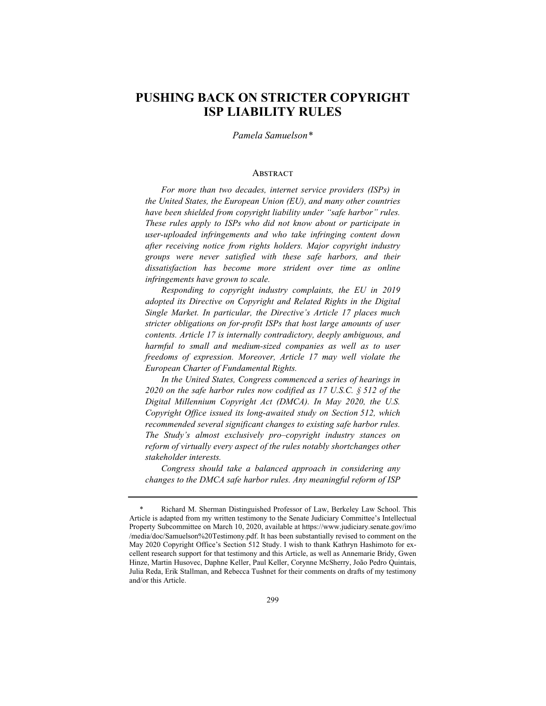## **PUSHING BACK ON STRICTER COPYRIGHT ISP LIABILITY RULES**

*Pamela Samuelson\**

#### **ABSTRACT**

*For more than two decades, internet service providers (ISPs) in the United States, the European Union (EU), and many other countries have been shielded from copyright liability under "safe harbor" rules. These rules apply to ISPs who did not know about or participate in user-uploaded infringements and who take infringing content down after receiving notice from rights holders. Major copyright industry groups were never satisfied with these safe harbors, and their dissatisfaction has become more strident over time as online infringements have grown to scale.*

*Responding to copyright industry complaints, the EU in 2019 adopted its Directive on Copyright and Related Rights in the Digital Single Market. In particular, the Directive's Article 17 places much stricter obligations on for-profit ISPs that host large amounts of user contents. Article 17 is internally contradictory, deeply ambiguous, and harmful to small and medium-sized companies as well as to user freedoms of expression. Moreover, Article 17 may well violate the European Charter of Fundamental Rights.*

*In the United States, Congress commenced a series of hearings in 2020 on the safe harbor rules now codified as 17 U.S.C. § 512 of the Digital Millennium Copyright Act (DMCA). In May 2020, the U.S. Copyright Office issued its long-awaited study on Section 512, which recommended several significant changes to existing safe harbor rules. The Study's almost exclusively pro–copyright industry stances on reform of virtually every aspect of the rules notably shortchanges other stakeholder interests.*

*Congress should take a balanced approach in considering any changes to the DMCA safe harbor rules. Any meaningful reform of ISP* 

<sup>\*</sup> Richard M. Sherman Distinguished Professor of Law, Berkeley Law School. This Article is adapted from my written testimony to the Senate Judiciary Committee's Intellectual Property Subcommittee on March 10, 2020, available at https://www.judiciary.senate.gov/imo /media/doc/Samuelson%20Testimony.pdf. It has been substantially revised to comment on the May 2020 Copyright Office's Section 512 Study. I wish to thank Kathryn Hashimoto for excellent research support for that testimony and this Article, as well as Annemarie Bridy, Gwen Hinze, Martin Husovec, Daphne Keller, Paul Keller, Corynne McSherry, João Pedro Quintais, Julia Reda, Erik Stallman, and Rebecca Tushnet for their comments on drafts of my testimony and/or this Article.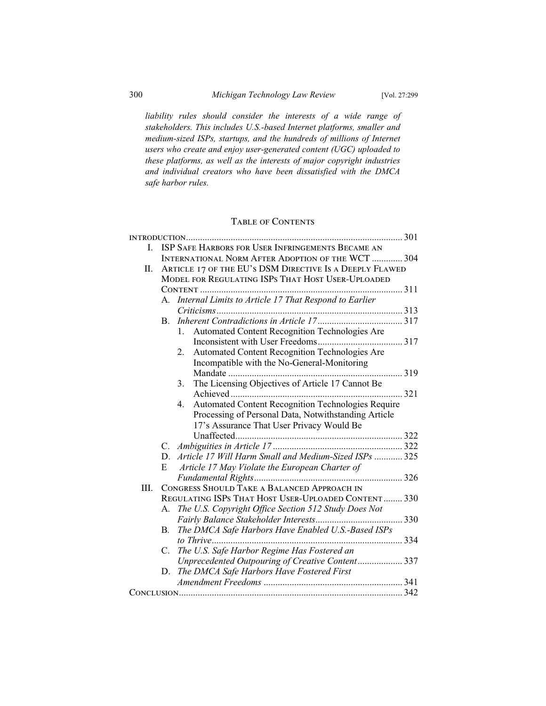*liability rules should consider the interests of a wide range of stakeholders. This includes U.S.-based Internet platforms, smaller and medium-sized ISPs, startups, and the hundreds of millions of Internet users who create and enjoy user-generated content (UGC) uploaded to these platforms, as well as the interests of major copyright industries and individual creators who have been dissatisfied with the DMCA safe harbor rules.*

## Table of Contents

| L  | ISP SAFE HARBORS FOR USER INFRINGEMENTS BECAME AN        |                                                          |     |
|----|----------------------------------------------------------|----------------------------------------------------------|-----|
| Π. | <b>INTERNATIONAL NORM AFTER ADOPTION OF THE WCT  304</b> |                                                          |     |
|    | ARTICLE 17 OF THE EU'S DSM DIRECTIVE IS A DEEPLY FLAWED  |                                                          |     |
|    | MODEL FOR REGULATING ISPS THAT HOST USER-UPLOADED        |                                                          |     |
|    |                                                          |                                                          |     |
|    | А.                                                       | Internal Limits to Article 17 That Respond to Earlier    |     |
|    |                                                          |                                                          |     |
|    | В.                                                       |                                                          |     |
|    |                                                          | Automated Content Recognition Technologies Are<br>1.     |     |
|    |                                                          |                                                          |     |
|    |                                                          | Automated Content Recognition Technologies Are<br>2.     |     |
|    |                                                          | Incompatible with the No-General-Monitoring              |     |
|    |                                                          | Mandate                                                  |     |
|    |                                                          | The Licensing Objectives of Article 17 Cannot Be<br>3.   |     |
|    |                                                          |                                                          | 321 |
|    |                                                          | Automated Content Recognition Technologies Require<br>4. |     |
|    |                                                          | Processing of Personal Data, Notwithstanding Article     |     |
|    |                                                          | 17's Assurance That User Privacy Would Be                |     |
|    |                                                          |                                                          |     |
|    |                                                          |                                                          |     |
|    |                                                          | D. Article 17 Will Harm Small and Medium-Sized ISPs  325 |     |
|    |                                                          |                                                          |     |
|    | E                                                        | Article 17 May Violate the European Charter of           |     |
|    |                                                          |                                                          |     |
| Ш. | CONGRESS SHOULD TAKE A BALANCED APPROACH IN              |                                                          |     |
|    |                                                          | REGULATING ISPS THAT HOST USER-UPLOADED CONTENT 330      |     |
|    | А.                                                       | The U.S. Copyright Office Section 512 Study Does Not     |     |
|    |                                                          |                                                          |     |
|    | <b>B.</b>                                                | The DMCA Safe Harbors Have Enabled U.S.-Based ISPs       |     |
|    |                                                          |                                                          |     |
|    | C.                                                       | The U.S. Safe Harbor Regime Has Fostered an              |     |
|    |                                                          | Unprecedented Outpouring of Creative Content 337         |     |
|    | D.                                                       | The DMCA Safe Harbors Have Fostered First                |     |
|    |                                                          |                                                          |     |
|    |                                                          |                                                          |     |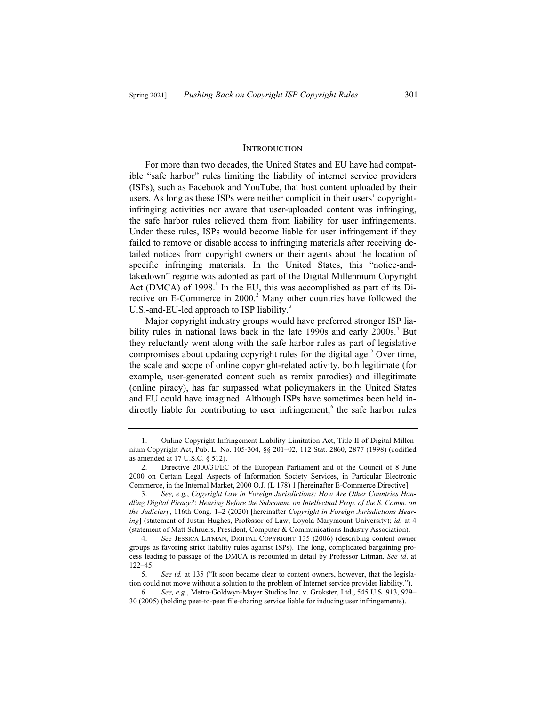#### **INTRODUCTION**

For more than two decades, the United States and EU have had compatible "safe harbor" rules limiting the liability of internet service providers (ISPs), such as Facebook and YouTube, that host content uploaded by their users. As long as these ISPs were neither complicit in their users' copyrightinfringing activities nor aware that user-uploaded content was infringing, the safe harbor rules relieved them from liability for user infringements. Under these rules, ISPs would become liable for user infringement if they failed to remove or disable access to infringing materials after receiving detailed notices from copyright owners or their agents about the location of specific infringing materials. In the United States, this "notice-andtakedown" regime was adopted as part of the Digital Millennium Copyright Act (DMCA) of  $1998<sup>1</sup>$ . In the EU, this was accomplished as part of its Directive on E-Commerce in 2000.<sup>2</sup> Many other countries have followed the U.S.-and-EU-led approach to ISP liability.<sup>3</sup>

Major copyright industry groups would have preferred stronger ISP liability rules in national laws back in the late 1990s and early 2000s.<sup>4</sup> But they reluctantly went along with the safe harbor rules as part of legislative compromises about updating copyright rules for the digital age.<sup>5</sup> Over time, the scale and scope of online copyright-related activity, both legitimate (for example, user-generated content such as remix parodies) and illegitimate (online piracy), has far surpassed what policymakers in the United States and EU could have imagined. Although ISPs have sometimes been held indirectly liable for contributing to user infringement,<sup>6</sup> the safe harbor rules

<sup>1.</sup> Online Copyright Infringement Liability Limitation Act, Title II of Digital Millennium Copyright Act, Pub. L. No. 105-304, §§ 201–02, 112 Stat. 2860, 2877 (1998) (codified as amended at 17 U.S.C. § 512).

<sup>2.</sup> Directive 2000/31/EC of the European Parliament and of the Council of 8 June 2000 on Certain Legal Aspects of Information Society Services, in Particular Electronic Commerce, in the Internal Market, 2000 O.J. (L 178) 1 [hereinafter E-Commerce Directive].

<sup>3.</sup> *See, e.g.*, *Copyright Law in Foreign Jurisdictions: How Are Other Countries Handling Digital Piracy?*: *Hearing Before the Subcomm. on Intellectual Prop. of the S. Comm. on the Judiciary*, 116th Cong. 1–2 (2020) [hereinafter *Copyright in Foreign Jurisdictions Hearing*] (statement of Justin Hughes, Professor of Law, Loyola Marymount University); *id.* at 4 (statement of Matt Schruers, President, Computer & Communications Industry Association).

<sup>4.</sup> *See* JESSICA LITMAN, DIGITAL COPYRIGHT 135 (2006) (describing content owner groups as favoring strict liability rules against ISPs). The long, complicated bargaining process leading to passage of the DMCA is recounted in detail by Professor Litman. *See id*. at 122–45.

<sup>5.</sup> *See id.* at 135 ("It soon became clear to content owners, however, that the legislation could not move without a solution to the problem of Internet service provider liability.").

<sup>6.</sup> *See, e.g.*, Metro-Goldwyn-Mayer Studios Inc. v. Grokster, Ltd., 545 U.S. 913, 929– 30 (2005) (holding peer-to-peer file-sharing service liable for inducing user infringements).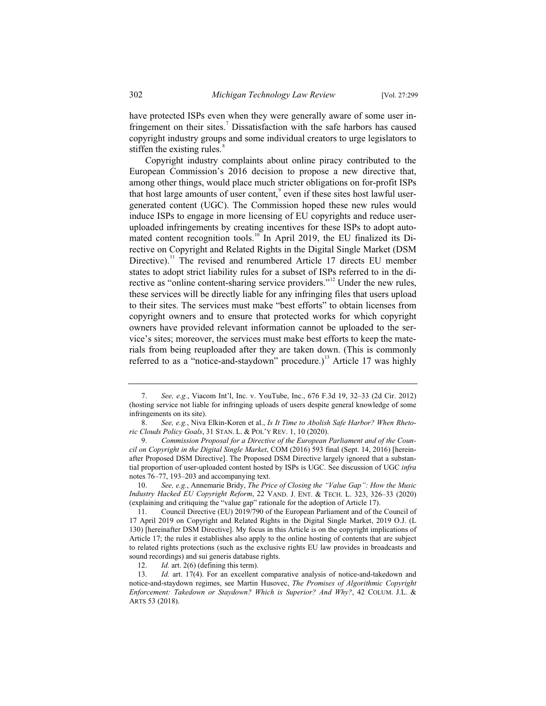have protected ISPs even when they were generally aware of some user infringement on their sites.<sup>7</sup> Dissatisfaction with the safe harbors has caused copyright industry groups and some individual creators to urge legislators to stiffen the existing rules.<sup>8</sup>

Copyright industry complaints about online piracy contributed to the European Commission's 2016 decision to propose a new directive that, among other things, would place much stricter obligations on for-profit ISPs that host large amounts of user content, $\degree$  even if these sites host lawful usergenerated content (UGC). The Commission hoped these new rules would induce ISPs to engage in more licensing of EU copyrights and reduce useruploaded infringements by creating incentives for these ISPs to adopt automated content recognition tools.<sup>10</sup> In April 2019, the EU finalized its Directive on Copyright and Related Rights in the Digital Single Market (DSM Directive).<sup>11</sup> The revised and renumbered Article 17 directs EU member states to adopt strict liability rules for a subset of ISPs referred to in the directive as "online content-sharing service providers."<sup>12</sup> Under the new rules, these services will be directly liable for any infringing files that users upload to their sites. The services must make "best efforts" to obtain licenses from copyright owners and to ensure that protected works for which copyright owners have provided relevant information cannot be uploaded to the service's sites; moreover, the services must make best efforts to keep the materials from being reuploaded after they are taken down. (This is commonly referred to as a "notice-and-staydown" procedure.)<sup>13</sup> Article 17 was highly

<sup>7.</sup> *See, e.g.*, Viacom Int'l, Inc. v. YouTube, Inc., 676 F.3d 19, 32–33 (2d Cir. 2012) (hosting service not liable for infringing uploads of users despite general knowledge of some infringements on its site).

<sup>8.</sup> *See, e.g.*, Niva Elkin-Koren et al., *Is It Time to Abolish Safe Harbor? When Rhetoric Clouds Policy Goals*, 31 STAN. L. & POL'Y REV. 1, 10 (2020).

<sup>9.</sup> *Commission Proposal for a Directive of the European Parliament and of the Council on Copyright in the Digital Single Market*, COM (2016) 593 final (Sept. 14, 2016) [hereinafter Proposed DSM Directive]. The Proposed DSM Directive largely ignored that a substantial proportion of user-uploaded content hosted by ISPs is UGC. See discussion of UGC *infra* notes 76–77, 193–203 and accompanying text.

<sup>10.</sup> *See, e.g.*, Annemarie Bridy, *The Price of Closing the "Value Gap": How the Music Industry Hacked EU Copyright Reform*, 22 VAND. J. ENT.&TECH. L. 323, 326–33 (2020) (explaining and critiquing the "value gap" rationale for the adoption of Article 17).

<sup>11.</sup> Council Directive (EU) 2019/790 of the European Parliament and of the Council of 17 April 2019 on Copyright and Related Rights in the Digital Single Market, 2019 O.J. (L 130) [hereinafter DSM Directive]. My focus in this Article is on the copyright implications of Article 17; the rules it establishes also apply to the online hosting of contents that are subject to related rights protections (such as the exclusive rights EU law provides in broadcasts and sound recordings) and sui generis database rights.<br>12.  $Id.$  art. 2(6) (defining this term).

Id. art. 2(6) (defining this term).

<sup>13.</sup> *Id.* art. 17(4). For an excellent comparative analysis of notice-and-takedown and notice-and-staydown regimes, see Martin Husovec, *The Promises of Algorithmic Copyright Enforcement: Takedown or Staydown? Which is Superior? And Why?*, 42 COLUM. J.L. & ARTS 53 (2018).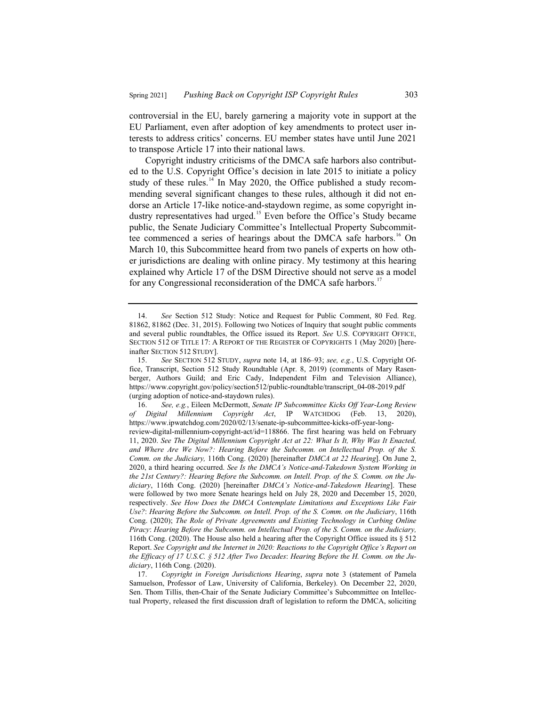controversial in the EU, barely garnering a majority vote in support at the EU Parliament, even after adoption of key amendments to protect user interests to address critics' concerns. EU member states have until June 2021 to transpose Article 17 into their national laws.

Copyright industry criticisms of the DMCA safe harbors also contributed to the U.S. Copyright Office's decision in late 2015 to initiate a policy study of these rules. $14$  In May 2020, the Office published a study recommending several significant changes to these rules, although it did not endorse an Article 17-like notice-and-staydown regime, as some copyright industry representatives had urged.<sup>15</sup> Even before the Office's Study became public, the Senate Judiciary Committee's Intellectual Property Subcommittee commenced a series of hearings about the DMCA safe harbors.<sup>16</sup> On March 10, this Subcommittee heard from two panels of experts on how other jurisdictions are dealing with online piracy. My testimony at this hearing explained why Article 17 of the DSM Directive should not serve as a model for any Congressional reconsideration of the DMCA safe harbors.<sup>17</sup>

<sup>14.</sup> *See* Section 512 Study: Notice and Request for Public Comment, 80 Fed. Reg. 81862, 81862 (Dec. 31, 2015). Following two Notices of Inquiry that sought public comments and several public roundtables, the Office issued its Report. *See* U.S. COPYRIGHT OFFICE, SECTION 512 OF TITLE 17: A REPORT OF THE REGISTER OF COPYRIGHTS 1 (May 2020) [hereinafter SECTION 512 STUDY].

<sup>15.</sup> *See* SECTION 512 STUDY, *supra* note 14, at 186–93; *see, e.g.*, U.S. Copyright Office, Transcript, Section 512 Study Roundtable (Apr. 8, 2019) (comments of Mary Rasenberger, Authors Guild; and Eric Cady, Independent Film and Television Alliance), https://www.copyright.gov/policy/section512/public-roundtable/transcript\_04-08-2019.pdf (urging adoption of notice-and-staydown rules).

<sup>16.</sup> *See, e.g.*, Eileen McDermott, *Senate IP Subcommittee Kicks Off Year-Long Review of Digital Millennium Copyright Act*, IP WATCHDOG (Feb. 13, 2020), https://www.ipwatchdog.com/2020/02/13/senate-ip-subcommittee-kicks-off-year-longreview-digital-millennium-copyright-act/id=118866. The first hearing was held on February 11, 2020. *See The Digital Millennium Copyright Act at 22: What Is It, Why Was It Enacted, and Where Are We Now?: Hearing Before the Subcomm. on Intellectual Prop. of the S. Comm. on the Judiciary,* 116th Cong. (2020) [hereinafter *DMCA at 22 Hearing*]. On June 2, 2020, a third hearing occurred. *See Is the DMCA's Notice-and-Takedown System Working in the 21st Century?: Hearing Before the Subcomm. on Intell. Prop. of the S. Comm. on the Judiciary*, 116th Cong. (2020) [hereinafter *DMCA's Notice-and-Takedown Hearing*]. These were followed by two more Senate hearings held on July 28, 2020 and December 15, 2020, respectively. *See How Does the DMCA Contemplate Limitations and Exceptions Like Fair Use?*: *Hearing Before the Subcomm. on Intell. Prop. of the S. Comm. on the Judiciary*, 116th Cong. (2020); *The Role of Private Agreements and Existing Technology in Curbing Online Piracy*: *Hearing Before the Subcomm. on Intellectual Prop. of the S. Comm. on the Judiciary,*  116th Cong. (2020). The House also held a hearing after the Copyright Office issued its § 512 Report. *See Copyright and the Internet in 2020: Reactions to the Copyright Office's Report on the Efficacy of 17 U.S.C. § 512 After Two Decades*: *Hearing Before the H. Comm. on the Judiciary*, 116th Cong. (2020).

<sup>17.</sup> *Copyright in Foreign Jurisdictions Hearing*, *supra* note 3 (statement of Pamela Samuelson, Professor of Law, University of California, Berkeley). On December 22, 2020, Sen. Thom Tillis, then-Chair of the Senate Judiciary Committee's Subcommittee on Intellectual Property, released the first discussion draft of legislation to reform the DMCA, soliciting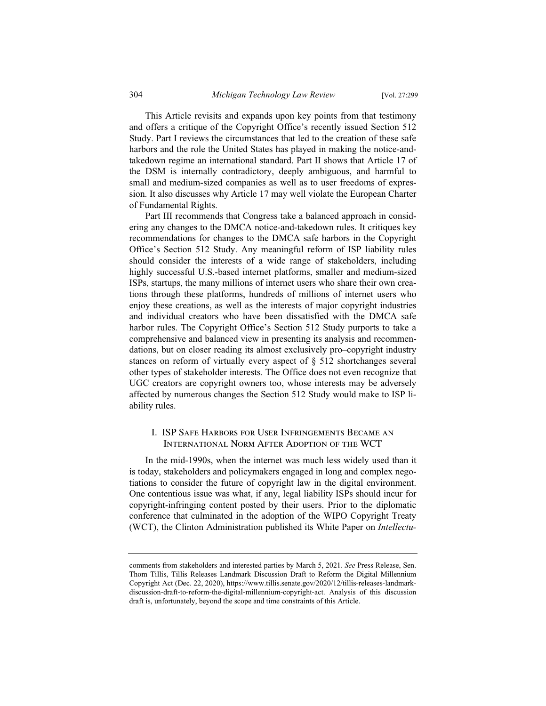This Article revisits and expands upon key points from that testimony and offers a critique of the Copyright Office's recently issued Section 512 Study. Part I reviews the circumstances that led to the creation of these safe harbors and the role the United States has played in making the notice-andtakedown regime an international standard. Part II shows that Article 17 of the DSM is internally contradictory, deeply ambiguous, and harmful to small and medium-sized companies as well as to user freedoms of expression. It also discusses why Article 17 may well violate the European Charter of Fundamental Rights.

Part III recommends that Congress take a balanced approach in considering any changes to the DMCA notice-and-takedown rules. It critiques key recommendations for changes to the DMCA safe harbors in the Copyright Office's Section 512 Study. Any meaningful reform of ISP liability rules should consider the interests of a wide range of stakeholders, including highly successful U.S.-based internet platforms, smaller and medium-sized ISPs, startups, the many millions of internet users who share their own creations through these platforms, hundreds of millions of internet users who enjoy these creations, as well as the interests of major copyright industries and individual creators who have been dissatisfied with the DMCA safe harbor rules. The Copyright Office's Section 512 Study purports to take a comprehensive and balanced view in presenting its analysis and recommendations, but on closer reading its almost exclusively pro–copyright industry stances on reform of virtually every aspect of § 512 shortchanges several other types of stakeholder interests. The Office does not even recognize that UGC creators are copyright owners too, whose interests may be adversely affected by numerous changes the Section 512 Study would make to ISP liability rules.

### I. ISP Safe Harbors for User Infringements Became an International Norm After Adoption of the WCT

In the mid-1990s, when the internet was much less widely used than it is today, stakeholders and policymakers engaged in long and complex negotiations to consider the future of copyright law in the digital environment. One contentious issue was what, if any, legal liability ISPs should incur for copyright-infringing content posted by their users. Prior to the diplomatic conference that culminated in the adoption of the WIPO Copyright Treaty (WCT), the Clinton Administration published its White Paper on *Intellectu-*

comments from stakeholders and interested parties by March 5, 2021. *See* Press Release, Sen. Thom Tillis, Tillis Releases Landmark Discussion Draft to Reform the Digital Millennium Copyright Act (Dec. 22, 2020), https://www.tillis.senate.gov/2020/12/tillis-releases-landmarkdiscussion-draft-to-reform-the-digital-millennium-copyright-act. Analysis of this discussion draft is, unfortunately, beyond the scope and time constraints of this Article.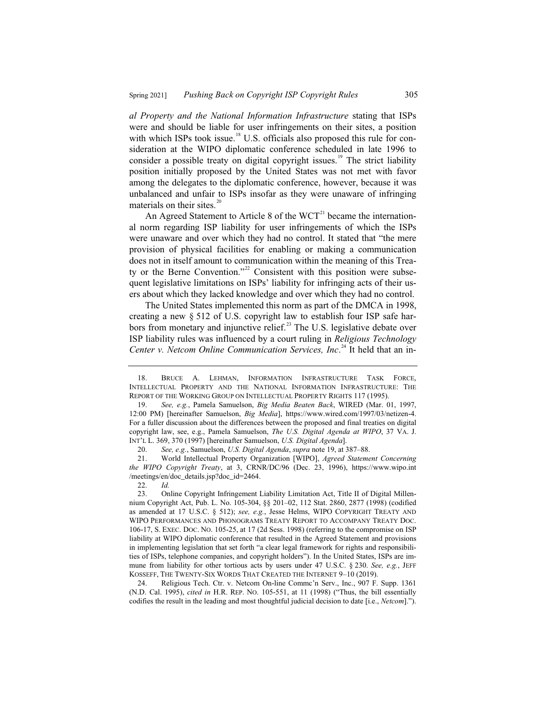*al Property and the National Information Infrastructure* stating that ISPs were and should be liable for user infringements on their sites, a position with which ISPs took issue.<sup>18</sup> U.S. officials also proposed this rule for consideration at the WIPO diplomatic conference scheduled in late 1996 to consider a possible treaty on digital copyright issues.<sup>19</sup> The strict liability position initially proposed by the United States was not met with favor among the delegates to the diplomatic conference, however, because it was unbalanced and unfair to ISPs insofar as they were unaware of infringing materials on their sites.<sup>20</sup>

An Agreed Statement to Article 8 of the  $WCT<sup>21</sup>$  became the international norm regarding ISP liability for user infringements of which the ISPs were unaware and over which they had no control. It stated that "the mere provision of physical facilities for enabling or making a communication does not in itself amount to communication within the meaning of this Treaty or the Berne Convention."<sup>22</sup> Consistent with this position were subsequent legislative limitations on ISPs' liability for infringing acts of their users about which they lacked knowledge and over which they had no control.

The United States implemented this norm as part of the DMCA in 1998, creating a new § 512 of U.S. copyright law to establish four ISP safe harbors from monetary and injunctive relief.<sup>23</sup> The U.S. legislative debate over ISP liability rules was influenced by a court ruling in *Religious Technology Center v. Netcom Online Communication Services, Inc*. <sup>24</sup> It held that an in-

20. *See, e.g.*, Samuelson, *U.S. Digital Agenda*, *supra* note 19, at 387–88.

21. World Intellectual Property Organization [WIPO], *Agreed Statement Concerning the WIPO Copyright Treaty*, at 3, CRNR/DC/96 (Dec. 23, 1996), https://www.wipo.int /meetings/en/doc\_details.jsp?doc\_id=2464.

22. *Id.*

24. Religious Tech. Ctr. v. Netcom On-line Commc'n Serv., Inc., 907 F. Supp. 1361 (N.D. Cal. 1995), *cited in* H.R. REP. NO. 105-551, at 11 (1998) ("Thus, the bill essentially codifies the result in the leading and most thoughtful judicial decision to date [i.e., *Netcom*].").

<sup>18.</sup> BRUCE A. LEHMAN, INFORMATION INFRASTRUCTURE TASK FORCE, INTELLECTUAL PROPERTY AND THE NATIONAL INFORMATION INFRASTRUCTURE: THE REPORT OF THE WORKING GROUP ON INTELLECTUAL PROPERTY RIGHTS 117 (1995).

<sup>19.</sup> *See, e.g.*, Pamela Samuelson, *Big Media Beaten Back*, WIRED (Mar. 01, 1997, 12:00 PM) [hereinafter Samuelson, *Big Media*], https://www.wired.com/1997/03/netizen-4. For a fuller discussion about the differences between the proposed and final treaties on digital copyright law, see, e.g., Pamela Samuelson, *The U.S. Digital Agenda at WIPO*, 37 VA. J. INT'L L. 369, 370 (1997) [hereinafter Samuelson, *U.S. Digital Agenda*].

<sup>23.</sup> Online Copyright Infringement Liability Limitation Act, Title II of Digital Millennium Copyright Act, Pub. L. No. 105-304, §§ 201–02, 112 Stat. 2860, 2877 (1998) (codified as amended at 17 U.S.C. § 512); *see, e.g.*, Jesse Helms, WIPO COPYRIGHT TREATY AND WIPO PERFORMANCES AND PHONOGRAMS TREATY REPORT TO ACCOMPANY TREATY DOC. 106-17, S. EXEC. DOC. NO. 105-25, at 17 (2d Sess. 1998) (referring to the compromise on ISP liability at WIPO diplomatic conference that resulted in the Agreed Statement and provisions in implementing legislation that set forth "a clear legal framework for rights and responsibilities of ISPs, telephone companies, and copyright holders"). In the United States, ISPs are immune from liability for other tortious acts by users under 47 U.S.C. § 230. *See, e.g.*, JEFF KOSSEFF, THE TWENTY-SIX WORDS THAT CREATED THE INTERNET 9–10 (2019).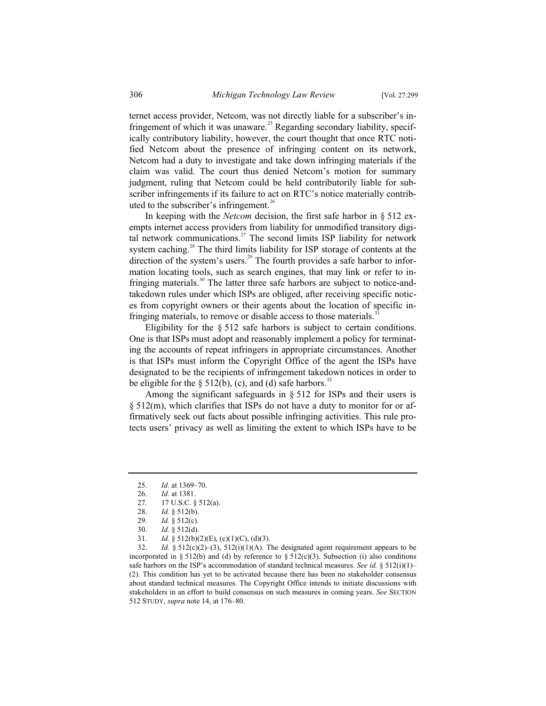ternet access provider, Netcom, was not directly liable for a subscriber's infringement of which it was unaware.<sup>25</sup> Regarding secondary liability, specifically contributory liability, however, the court thought that once RTC notified Netcom about the presence of infringing content on its network, Netcom had a duty to investigate and take down infringing materials if the claim was valid. The court thus denied Netcom's motion for summary judgment, ruling that Netcom could be held contributorily liable for subscriber infringements if its failure to act on RTC's notice materially contributed to the subscriber's infringement.<sup>26</sup>

In keeping with the *Netcom* decision, the first safe harbor in § 512 exempts internet access providers from liability for unmodified transitory digital network communications.<sup>27</sup> The second limits ISP liability for network system caching.<sup>28</sup> The third limits liability for ISP storage of contents at the direction of the system's users.<sup>29</sup> The fourth provides a safe harbor to information locating tools, such as search engines, that may link or refer to infringing materials.<sup>30</sup> The latter three safe harbors are subject to notice-andtakedown rules under which ISPs are obliged, after receiving specific notices from copyright owners or their agents about the location of specific infringing materials, to remove or disable access to those materials.<sup>31</sup>

Eligibility for the § 512 safe harbors is subject to certain conditions. One is that ISPs must adopt and reasonably implement a policy for terminating the accounts of repeat infringers in appropriate circumstances. Another is that ISPs must inform the Copyright Office of the agent the ISPs have designated to be the recipients of infringement takedown notices in order to be eligible for the  $\S$  512(b), (c), and (d) safe harbors.<sup>32</sup>

Among the significant safeguards in § 512 for ISPs and their users is § 512(m), which clarifies that ISPs do not have a duty to monitor for or affirmatively seek out facts about possible infringing activities. This rule protects users' privacy as well as limiting the extent to which ISPs have to be

<sup>25.</sup> *Id.* at 1369–70.

<sup>26.</sup> *Id.* at 1381.

<sup>27. 17</sup> U.S.C. § 512(a).<br>28. *Id.* § 512(b).

*Id.* § 512(b).

<sup>29.</sup> *Id.* § 512(c).

<sup>30.</sup> *Id.* § 512(d).

 $Id. \S$  512(b)(2)(E), (c)(1)(C), (d)(3).

<sup>32.</sup> *Id.* §  $512(c)(2)–(3)$ ,  $512(i)(1)(A)$ . The designated agent requirement appears to be incorporated in § 512(b) and (d) by reference to § 512(c)(3). Subsection (i) also conditions safe harbors on the ISP's accommodation of standard technical measures. *See id.*  $\frac{8}{3}$  512(i)(1)– (2). This condition has yet to be activated because there has been no stakeholder consensus about standard technical measures. The Copyright Office intends to initiate discussions with stakeholders in an effort to build consensus on such measures in coming years. *See* SECTION 512 STUDY, *supra* note 14, at 176–80.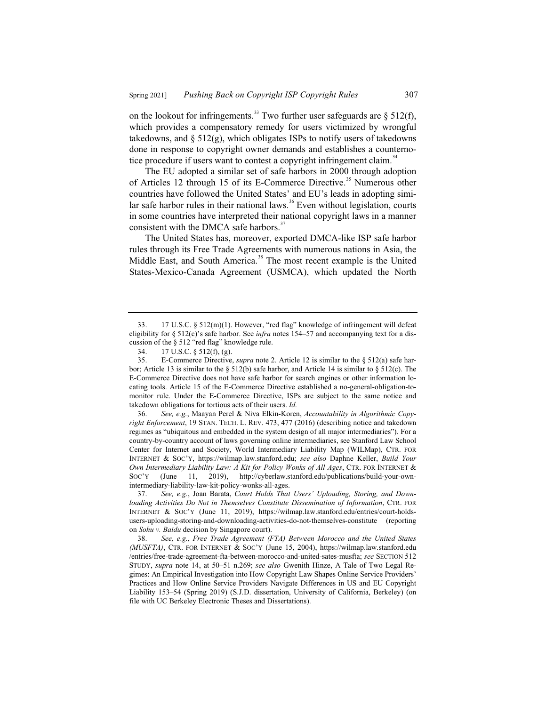on the lookout for infringements.<sup>33</sup> Two further user safeguards are  $\S$  512(f), which provides a compensatory remedy for users victimized by wrongful takedowns, and  $\S$  512(g), which obligates ISPs to notify users of takedowns done in response to copyright owner demands and establishes a counternotice procedure if users want to contest a copyright infringement claim.<sup>34</sup>

The EU adopted a similar set of safe harbors in 2000 through adoption of Articles 12 through 15 of its E-Commerce Directive.<sup>35</sup> Numerous other countries have followed the United States' and EU's leads in adopting similar safe harbor rules in their national laws.<sup>36</sup> Even without legislation, courts in some countries have interpreted their national copyright laws in a manner consistent with the DMCA safe harbors.<sup>37</sup>

The United States has, moreover, exported DMCA-like ISP safe harbor rules through its Free Trade Agreements with numerous nations in Asia, the Middle East, and South America.<sup>38</sup> The most recent example is the United States-Mexico-Canada Agreement (USMCA), which updated the North

36. *See, e.g.*, Maayan Perel & Niva Elkin-Koren, *Accountability in Algorithmic Copyright Enforcement*, 19 STAN. TECH. L. REV. 473, 477 (2016) (describing notice and takedown regimes as "ubiquitous and embedded in the system design of all major intermediaries"). For a country-by-country account of laws governing online intermediaries, see Stanford Law School Center for Internet and Society, World Intermediary Liability Map (WILMap), CTR. FOR INTERNET & SOC'Y, https://wilmap.law.stanford.edu; *see also* Daphne Keller, *Build Your Own Intermediary Liability Law: A Kit for Policy Wonks of All Ages*, CTR. FOR INTERNET & SOC'Y (June 11, 2019), http://cyberlaw.stanford.edu/publications/build-your-ownintermediary-liability-law-kit-policy-wonks-all-ages.

37. *See, e.g.*, Joan Barata, *Court Holds That Users' Uploading, Storing, and Downloading Activities Do Not in Themselves Constitute Dissemination of Information*, CTR. FOR INTERNET & SOC'Y (June 11, 2019), https://wilmap.law.stanford.edu/entries/court-holdsusers-uploading-storing-and-downloading-activities-do-not-themselves-constitute (reporting on *Sohu v. Baidu* decision by Singapore court).

38. *See, e.g.*, *Free Trade Agreement (FTA) Between Morocco and the United States (MUSFTA)*, CTR. FOR INTERNET & SOC'Y (June 15, 2004), https://wilmap.law.stanford.edu /entries/free-trade-agreement-fta-between-morocco-and-united-sates-musfta; *see* SECTION 512 STUDY, *supra* note 14, at 50–51 n.269; *see also* Gwenith Hinze, A Tale of Two Legal Regimes: An Empirical Investigation into How Copyright Law Shapes Online Service Providers' Practices and How Online Service Providers Navigate Differences in US and EU Copyright Liability 153–54 (Spring 2019) (S.J.D. dissertation, University of California, Berkeley) (on file with UC Berkeley Electronic Theses and Dissertations).

<sup>33. 17</sup> U.S.C. § 512(m)(1). However, "red flag" knowledge of infringement will defeat eligibility for § 512(c)'s safe harbor. See *infra* notes 154–57 and accompanying text for a discussion of the § 512 "red flag" knowledge rule.<br>34 17 U S C  $\frac{8512(f)}{f}$  ( $\sigma$ )

<sup>17</sup> U.S.C. § 512(f), (g).

<sup>35.</sup> E-Commerce Directive, *supra* note 2. Article 12 is similar to the § 512(a) safe harbor; Article 13 is similar to the  $\S 512(b)$  safe harbor, and Article 14 is similar to  $\S 512(c)$ . The E-Commerce Directive does not have safe harbor for search engines or other information locating tools. Article 15 of the E-Commerce Directive established a no-general-obligation-tomonitor rule. Under the E-Commerce Directive, ISPs are subject to the same notice and takedown obligations for tortious acts of their users. *Id.*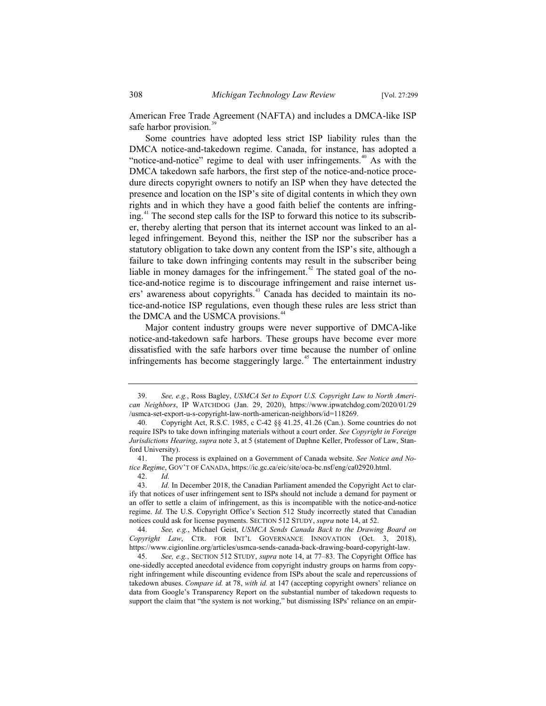American Free Trade Agreement (NAFTA) and includes a DMCA-like ISP safe harbor provision.<sup>3</sup>

Some countries have adopted less strict ISP liability rules than the DMCA notice-and-takedown regime. Canada, for instance, has adopted a "notice-and-notice" regime to deal with user infringements.<sup>40</sup> As with the DMCA takedown safe harbors, the first step of the notice-and-notice procedure directs copyright owners to notify an ISP when they have detected the presence and location on the ISP's site of digital contents in which they own rights and in which they have a good faith belief the contents are infringing.<sup>41</sup> The second step calls for the ISP to forward this notice to its subscriber, thereby alerting that person that its internet account was linked to an alleged infringement. Beyond this, neither the ISP nor the subscriber has a statutory obligation to take down any content from the ISP's site, although a failure to take down infringing contents may result in the subscriber being liable in money damages for the infringement.<sup>42</sup> The stated goal of the notice-and-notice regime is to discourage infringement and raise internet users' awareness about copyrights.<sup>43</sup> Canada has decided to maintain its notice-and-notice ISP regulations, even though these rules are less strict than the DMCA and the USMCA provisions.<sup>44</sup>

Major content industry groups were never supportive of DMCA-like notice-and-takedown safe harbors. These groups have become ever more dissatisfied with the safe harbors over time because the number of online infringements has become staggeringly large.<sup> $45$ </sup> The entertainment industry

<sup>39.</sup> *See, e.g.*, Ross Bagley, *USMCA Set to Export U.S. Copyright Law to North American Neighbors*, IP WATCHDOG (Jan. 29, 2020), https://www.ipwatchdog.com/2020/01/29 /usmca-set-export-u-s-copyright-law-north-american-neighbors/id=118269.

<sup>40.</sup> Copyright Act, R.S.C. 1985, c C-42 §§ 41.25, 41.26 (Can.). Some countries do not require ISPs to take down infringing materials without a court order. *See Copyright in Foreign Jurisdictions Hearing*, *supra* note 3, at 5 (statement of Daphne Keller, Professor of Law, Stanford University).

<sup>41.</sup> The process is explained on a Government of Canada website. *See Notice and Notice Regime*, GOV'T OF CANADA, https://ic.gc.ca/eic/site/oca-bc.nsf/eng/ca02920.html.

<sup>42.</sup> *Id.*

*Id.* In December 2018, the Canadian Parliament amended the Copyright Act to clarify that notices of user infringement sent to ISPs should not include a demand for payment or an offer to settle a claim of infringement, as this is incompatible with the notice-and-notice regime. *Id.* The U.S. Copyright Office's Section 512 Study incorrectly stated that Canadian notices could ask for license payments. SECTION 512 STUDY, *supra* note 14, at 52.

<sup>44.</sup> *See, e.g.*, Michael Geist, *USMCA Sends Canada Back to the Drawing Board on Copyright Law*, CTR. FOR INT'L GOVERNANCE INNOVATION (Oct. 3, 2018), https://www.cigionline.org/articles/usmca-sends-canada-back-drawing-board-copyright-law.

<sup>45.</sup> *See, e.g.*, SECTION 512 STUDY, *supra* note 14, at 77–83. The Copyright Office has one-sidedly accepted anecdotal evidence from copyright industry groups on harms from copyright infringement while discounting evidence from ISPs about the scale and repercussions of takedown abuses. *Compare id.* at 78, *with id.* at 147 (accepting copyright owners' reliance on data from Google's Transparency Report on the substantial number of takedown requests to support the claim that "the system is not working," but dismissing ISPs' reliance on an empir-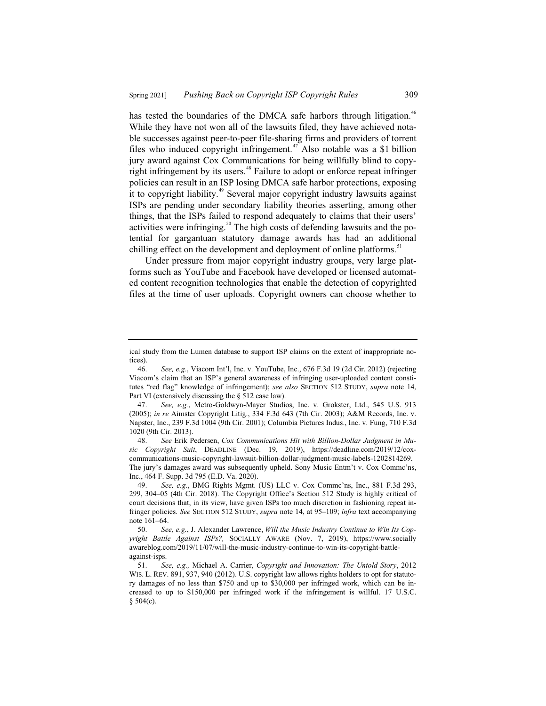has tested the boundaries of the DMCA safe harbors through litigation.<sup>46</sup> While they have not won all of the lawsuits filed, they have achieved notable successes against peer-to-peer file-sharing firms and providers of torrent files who induced copyright infringement.<sup> $47$ </sup> Also notable was a \$1 billion jury award against Cox Communications for being willfully blind to copyright infringement by its users.<sup>48</sup> Failure to adopt or enforce repeat infringer policies can result in an ISP losing DMCA safe harbor protections, exposing it to copyright liability.<sup>49</sup> Several major copyright industry lawsuits against ISPs are pending under secondary liability theories asserting, among other things, that the ISPs failed to respond adequately to claims that their users' activities were infringing.<sup>50</sup> The high costs of defending lawsuits and the potential for gargantuan statutory damage awards has had an additional chilling effect on the development and deployment of online platforms.<sup>51</sup>

Under pressure from major copyright industry groups, very large platforms such as YouTube and Facebook have developed or licensed automated content recognition technologies that enable the detection of copyrighted files at the time of user uploads. Copyright owners can choose whether to

ical study from the Lumen database to support ISP claims on the extent of inappropriate notices).

<sup>46.</sup> *See, e.g.*, Viacom Int'l, Inc. v. YouTube, Inc., 676 F.3d 19 (2d Cir. 2012) (rejecting Viacom's claim that an ISP's general awareness of infringing user-uploaded content constitutes "red flag" knowledge of infringement); *see also* SECTION 512 STUDY, *supra* note 14, Part VI (extensively discussing the § 512 case law).

<sup>47.</sup> *See, e.g.*, Metro-Goldwyn-Mayer Studios, Inc. v. Grokster, Ltd., 545 U.S. 913 (2005); *in re* Aimster Copyright Litig., 334 F.3d 643 (7th Cir. 2003); A&M Records, Inc. v. Napster, Inc., 239 F.3d 1004 (9th Cir. 2001); Columbia Pictures Indus., Inc. v. Fung, 710 F.3d 1020 (9th Cir. 2013).

<sup>48.</sup> *See* Erik Pedersen, *Cox Communications Hit with Billion-Dollar Judgment in Music Copyright Suit*, DEADLINE (Dec. 19, 2019), https://deadline.com/2019/12/coxcommunications-music-copyright-lawsuit-billion-dollar-judgment-music-labels-1202814269. The jury's damages award was subsequently upheld. Sony Music Entm't v. Cox Commc'ns, Inc., 464 F. Supp. 3d 795 (E.D. Va. 2020).

<sup>49.</sup> *See, e.g.*, BMG Rights Mgmt. (US) LLC v. Cox Commc'ns, Inc., 881 F.3d 293, 299, 304–05 (4th Cir. 2018). The Copyright Office's Section 512 Study is highly critical of court decisions that, in its view, have given ISPs too much discretion in fashioning repeat infringer policies. *See* SECTION 512 STUDY, *supra* note 14, at 95–109; *infra* text accompanying note 161–64.

<sup>50.</sup> *See, e.g.*, J. Alexander Lawrence, *Will the Music Industry Continue to Win Its Copyright Battle Against ISPs?,* SOCIALLY AWARE (Nov. 7, 2019), https://www.socially awareblog.com/2019/11/07/will-the-music-industry-continue-to-win-its-copyright-battleagainst-isps.<br> $51.$  Se

<sup>51.</sup> *See, e.g.,* Michael A. Carrier, *Copyright and Innovation: The Untold Story*, 2012 WIS. L. REV. 891, 937, 940 (2012). U.S. copyright law allows rights holders to opt for statutory damages of no less than \$750 and up to \$30,000 per infringed work, which can be increased to up to \$150,000 per infringed work if the infringement is willful. 17 U.S.C. § 504(c).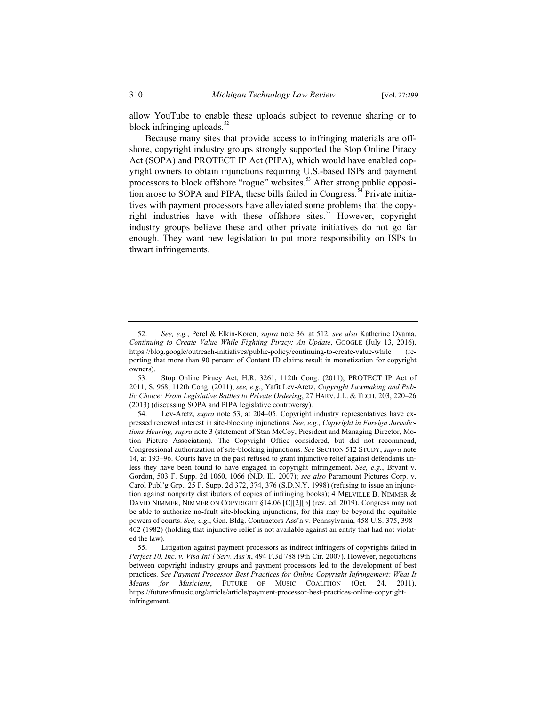allow YouTube to enable these uploads subject to revenue sharing or to block infringing uploads.<sup>52</sup>

Because many sites that provide access to infringing materials are offshore, copyright industry groups strongly supported the Stop Online Piracy Act (SOPA) and PROTECT IP Act (PIPA), which would have enabled copyright owners to obtain injunctions requiring U.S.-based ISPs and payment processors to block offshore "rogue" websites.<sup>53</sup> After strong public opposition arose to SOPA and PIPA, these bills failed in Congress.<sup>34</sup> Private initiatives with payment processors have alleviated some problems that the copyright industries have with these offshore sites.<sup>55</sup> However, copyright industry groups believe these and other private initiatives do not go far enough. They want new legislation to put more responsibility on ISPs to thwart infringements.

<sup>52.</sup> *See, e.g.*, Perel & Elkin-Koren, *supra* note 36, at 512; *see also* Katherine Oyama, *Continuing to Create Value While Fighting Piracy: An Update*, GOOGLE (July 13, 2016), https://blog.google/outreach-initiatives/public-policy/continuing-to-create-value-while (reporting that more than 90 percent of Content ID claims result in monetization for copyright owners).

<sup>53.</sup> Stop Online Piracy Act, H.R. 3261, 112th Cong. (2011); PROTECT IP Act of 2011, S. 968, 112th Cong. (2011); *see, e.g.*, Yafit Lev-Aretz, *Copyright Lawmaking and Public Choice: From Legislative Battles to Private Ordering*, 27 HARV. J.L. & TECH. 203, 220–26 (2013) (discussing SOPA and PIPA legislative controversy).

<sup>54.</sup> Lev-Aretz, *supra* note 53, at 204–05. Copyright industry representatives have expressed renewed interest in site-blocking injunctions. *See, e.g.*, *Copyright in Foreign Jurisdictions Hearing, supra* note 3 (statement of Stan McCoy, President and Managing Director, Motion Picture Association). The Copyright Office considered, but did not recommend, Congressional authorization of site-blocking injunctions. *See* SECTION 512 STUDY, *supra* note 14, at 193–96. Courts have in the past refused to grant injunctive relief against defendants unless they have been found to have engaged in copyright infringement. *See, e.g.*, Bryant v. Gordon, 503 F. Supp. 2d 1060, 1066 (N.D. Ill. 2007); *see also* Paramount Pictures Corp. v. Carol Publ'g Grp., 25 F. Supp. 2d 372, 374, 376 (S.D.N.Y. 1998) (refusing to issue an injunction against nonparty distributors of copies of infringing books); 4 MELVILLE B. NIMMER & DAVID NIMMER, NIMMER ON COPYRIGHT §14.06 [C][2][b] (rev. ed. 2019). Congress may not be able to authorize no-fault site-blocking injunctions, for this may be beyond the equitable powers of courts. *See, e.g.*, Gen. Bldg. Contractors Ass'n v. Pennsylvania, 458 U.S. 375, 398– 402 (1982) (holding that injunctive relief is not available against an entity that had not violated the law).

<sup>55.</sup> Litigation against payment processors as indirect infringers of copyrights failed in *Perfect 10, Inc. v. Visa Int'l Serv. Ass'n*, 494 F.3d 788 (9th Cir. 2007). However, negotiations between copyright industry groups and payment processors led to the development of best practices. See Payment Processor Best Practices for Online Copyright Infringement: What It *Means for Musicians*, FUTURE OF MUSIC COALITION (Oct. 24, 2011), https://futureofmusic.org/article/article/payment-processor-best-practices-online-copyrightinfringement.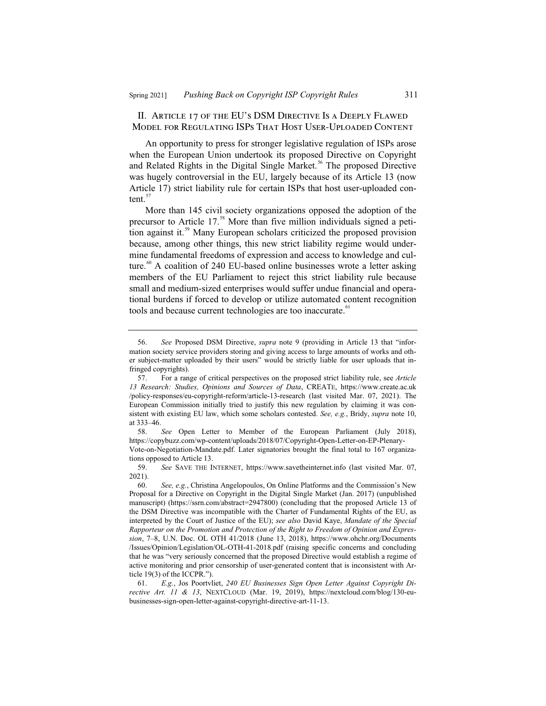II. Article 17 of the EU's DSM Directive Is a Deeply Flawed Model for Regulating ISPs That Host User-Uploaded Content

An opportunity to press for stronger legislative regulation of ISPs arose when the European Union undertook its proposed Directive on Copyright and Related Rights in the Digital Single Market.<sup>56</sup> The proposed Directive was hugely controversial in the EU, largely because of its Article 13 (now Article 17) strict liability rule for certain ISPs that host user-uploaded content. $5$ <sup>5</sup>

More than 145 civil society organizations opposed the adoption of the precursor to Article 17.<sup>58</sup> More than five million individuals signed a petition against it.<sup>59</sup> Many European scholars criticized the proposed provision because, among other things, this new strict liability regime would undermine fundamental freedoms of expression and access to knowledge and culture.<sup>60</sup> A coalition of 240 EU-based online businesses wrote a letter asking members of the EU Parliament to reject this strict liability rule because small and medium-sized enterprises would suffer undue financial and operational burdens if forced to develop or utilize automated content recognition tools and because current technologies are too inaccurate.<sup>61</sup>

<sup>56.</sup> *See* Proposed DSM Directive, *supra* note 9 (providing in Article 13 that "information society service providers storing and giving access to large amounts of works and other subject-matter uploaded by their users" would be strictly liable for user uploads that infringed copyrights).

<sup>57.</sup> For a range of critical perspectives on the proposed strict liability rule, see *Article 13 Research: Studies, Opinions and Sources of Data*, CREATE, https://www.create.ac.uk /policy-responses/eu-copyright-reform/article-13-research (last visited Mar. 07, 2021). The European Commission initially tried to justify this new regulation by claiming it was consistent with existing EU law, which some scholars contested. *See, e.g.*, Bridy, *supra* note 10, at  $333-46$ .<br>58.

See Open Letter to Member of the European Parliament (July 2018), https://copybuzz.com/wp-content/uploads/2018/07/Copyright-Open-Letter-on-EP-Plenary-Vote-on-Negotiation-Mandate.pdf. Later signatories brought the final total to 167 organizations opposed to Article 13.

<sup>59.</sup> *See* SAVE THE INTERNET, https://www.savetheinternet.info (last visited Mar. 07, 2021).

<sup>60.</sup> *See, e.g.*, Christina Angelopoulos, On Online Platforms and the Commission's New Proposal for a Directive on Copyright in the Digital Single Market (Jan. 2017) (unpublished manuscript) (https://ssrn.com/abstract=2947800) (concluding that the proposed Article 13 of the DSM Directive was incompatible with the Charter of Fundamental Rights of the EU, as interpreted by the Court of Justice of the EU); *see also* David Kaye, *Mandate of the Special Rapporteur on the Promotion and Protection of the Right to Freedom of Opinion and Expression*, 7–8, U.N. Doc. OL OTH 41/2018 (June 13, 2018), https://www.ohchr.org/Documents /Issues/Opinion/Legislation/OL-OTH-41-2018.pdf (raising specific concerns and concluding that he was "very seriously concerned that the proposed Directive would establish a regime of active monitoring and prior censorship of user-generated content that is inconsistent with Article 19(3) of the ICCPR.").

<sup>61.</sup> *E.g.*, Jos Poortvliet, *240 EU Businesses Sign Open Letter Against Copyright Directive Art. 11 & 13*, NEXTCLOUD (Mar. 19, 2019), https://nextcloud.com/blog/130-eubusinesses-sign-open-letter-against-copyright-directive-art-11-13.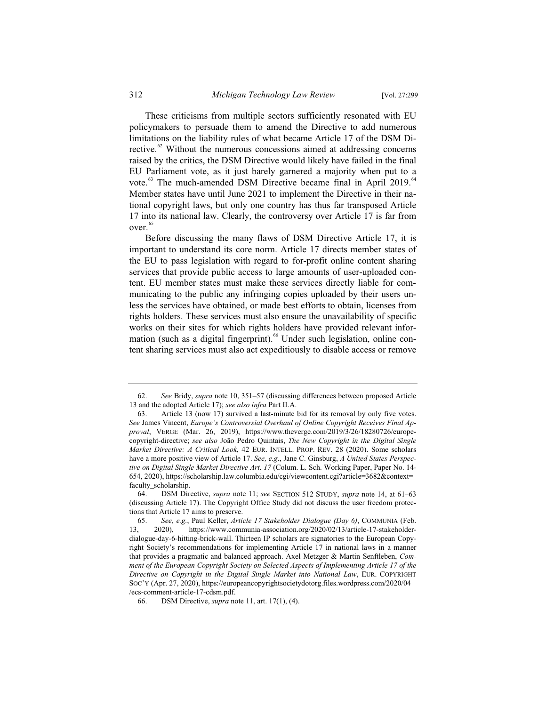These criticisms from multiple sectors sufficiently resonated with EU policymakers to persuade them to amend the Directive to add numerous limitations on the liability rules of what became Article 17 of the DSM Directive. $62$  Without the numerous concessions aimed at addressing concerns raised by the critics, the DSM Directive would likely have failed in the final EU Parliament vote, as it just barely garnered a majority when put to a vote.<sup>63</sup> The much-amended DSM Directive became final in April 2019.<sup>64</sup> Member states have until June 2021 to implement the Directive in their national copyright laws, but only one country has thus far transposed Article 17 into its national law. Clearly, the controversy over Article 17 is far from over.<sup>65</sup>

Before discussing the many flaws of DSM Directive Article 17, it is important to understand its core norm. Article 17 directs member states of the EU to pass legislation with regard to for-profit online content sharing services that provide public access to large amounts of user-uploaded content. EU member states must make these services directly liable for communicating to the public any infringing copies uploaded by their users unless the services have obtained, or made best efforts to obtain, licenses from rights holders. These services must also ensure the unavailability of specific works on their sites for which rights holders have provided relevant information (such as a digital fingerprint).<sup>66</sup> Under such legislation, online content sharing services must also act expeditiously to disable access or remove

<sup>62.</sup> *See* Bridy, *supra* note 10, 351–57 (discussing differences between proposed Article 13 and the adopted Article 17); *see also infra* Part II.A.

<sup>63.</sup> Article 13 (now 17) survived a last-minute bid for its removal by only five votes. *See* James Vincent, *Europe's Controversial Overhaul of Online Copyright Receives Final Approval*, VERGE (Mar. 26, 2019), https://www.theverge.com/2019/3/26/18280726/europecopyright-directive; *see also* João Pedro Quintais, *The New Copyright in the Digital Single Market Directive: A Critical Look*, 42 EUR. INTELL. PROP. REV. 28 (2020). Some scholars have a more positive view of Article 17. *See, e.g.*, Jane C. Ginsburg, *A United States Perspective on Digital Single Market Directive Art. 17* (Colum. L. Sch. Working Paper, Paper No. 14- 654, 2020), https://scholarship.law.columbia.edu/cgi/viewcontent.cgi?article=3682&context= faculty\_scholarship.

<sup>64.</sup> DSM Directive, *supra* note 11; *see* SECTION 512 STUDY, *supra* note 14, at 61–63 (discussing Article 17). The Copyright Office Study did not discuss the user freedom protections that Article 17 aims to preserve.

<sup>65.</sup> *See, e.g.*, Paul Keller, *Article 17 Stakeholder Dialogue (Day 6)*, COMMUNIA (Feb. 13, 2020), https://www.communia-association.org/2020/02/13/article-17-stakeholderdialogue-day-6-hitting-brick-wall. Thirteen IP scholars are signatories to the European Copyright Society's recommendations for implementing Article 17 in national laws in a manner that provides a pragmatic and balanced approach. Axel Metzger & Martin Senftleben, *Comment of the European Copyright Society on Selected Aspects of Implementing Article 17 of the Directive on Copyright in the Digital Single Market into National Law*, EUR. COPYRIGHT SOC'Y (Apr. 27, 2020), https://europeancopyrightsocietydotorg.files.wordpress.com/2020/04 /ecs-comment-article-17-cdsm.pdf.

<sup>66.</sup> DSM Directive, *supra* note 11, art. 17(1), (4).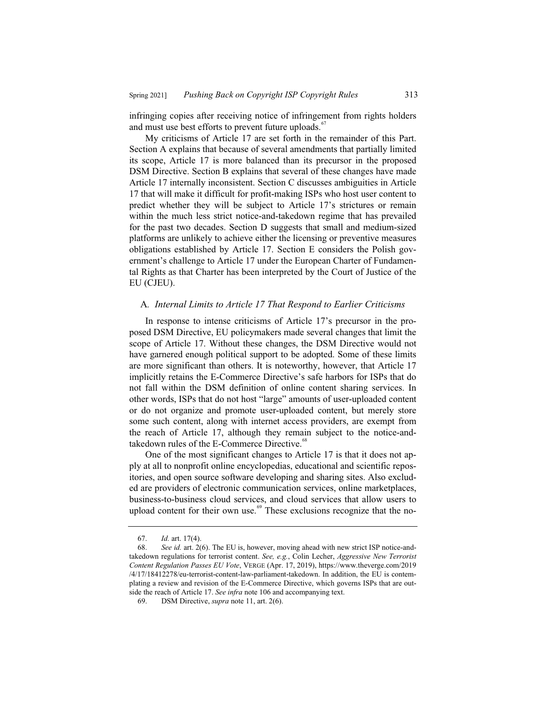infringing copies after receiving notice of infringement from rights holders and must use best efforts to prevent future uploads.<sup>67</sup>

My criticisms of Article 17 are set forth in the remainder of this Part. Section A explains that because of several amendments that partially limited its scope, Article 17 is more balanced than its precursor in the proposed DSM Directive. Section B explains that several of these changes have made Article 17 internally inconsistent. Section C discusses ambiguities in Article 17 that will make it difficult for profit-making ISPs who host user content to predict whether they will be subject to Article 17's strictures or remain within the much less strict notice-and-takedown regime that has prevailed for the past two decades. Section D suggests that small and medium-sized platforms are unlikely to achieve either the licensing or preventive measures obligations established by Article 17. Section E considers the Polish government's challenge to Article 17 under the European Charter of Fundamental Rights as that Charter has been interpreted by the Court of Justice of the EU (CJEU).

## A*. Internal Limits to Article 17 That Respond to Earlier Criticisms*

In response to intense criticisms of Article 17's precursor in the proposed DSM Directive, EU policymakers made several changes that limit the scope of Article 17. Without these changes, the DSM Directive would not have garnered enough political support to be adopted. Some of these limits are more significant than others. It is noteworthy, however, that Article 17 implicitly retains the E-Commerce Directive's safe harbors for ISPs that do not fall within the DSM definition of online content sharing services. In other words, ISPs that do not host "large" amounts of user-uploaded content or do not organize and promote user-uploaded content, but merely store some such content, along with internet access providers, are exempt from the reach of Article 17, although they remain subject to the notice-andtakedown rules of the E-Commerce Directive.<sup>68</sup>

One of the most significant changes to Article 17 is that it does not apply at all to nonprofit online encyclopedias, educational and scientific repositories, and open source software developing and sharing sites. Also excluded are providers of electronic communication services, online marketplaces, business-to-business cloud services, and cloud services that allow users to upload content for their own use. $69$  These exclusions recognize that the no-

<sup>67.</sup> *Id.* art. 17(4).

<sup>68.</sup> *See id.* art. 2(6). The EU is, however, moving ahead with new strict ISP notice-andtakedown regulations for terrorist content. *See, e.g.*, Colin Lecher, *Aggressive New Terrorist Content Regulation Passes EU Vote*, VERGE (Apr. 17, 2019), https://www.theverge.com/2019 /4/17/18412278/eu-terrorist-content-law-parliament-takedown. In addition, the EU is contemplating a review and revision of the E-Commerce Directive, which governs ISPs that are outside the reach of Article 17. *See infra* note 106 and accompanying text.

<sup>69.</sup> DSM Directive, *supra* note 11, art. 2(6).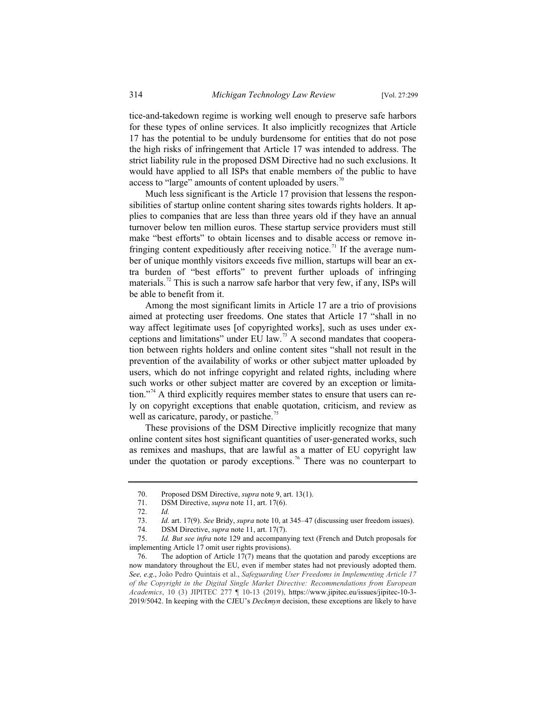tice-and-takedown regime is working well enough to preserve safe harbors for these types of online services. It also implicitly recognizes that Article 17 has the potential to be unduly burdensome for entities that do not pose the high risks of infringement that Article 17 was intended to address. The strict liability rule in the proposed DSM Directive had no such exclusions. It would have applied to all ISPs that enable members of the public to have access to "large" amounts of content uploaded by users.<sup>70</sup>

Much less significant is the Article 17 provision that lessens the responsibilities of startup online content sharing sites towards rights holders. It applies to companies that are less than three years old if they have an annual turnover below ten million euros. These startup service providers must still make "best efforts" to obtain licenses and to disable access or remove infringing content expeditiously after receiving notice.<sup>71</sup> If the average number of unique monthly visitors exceeds five million, startups will bear an extra burden of "best efforts" to prevent further uploads of infringing materials.<sup>72</sup> This is such a narrow safe harbor that very few, if any, ISPs will be able to benefit from it.

Among the most significant limits in Article 17 are a trio of provisions aimed at protecting user freedoms. One states that Article 17 "shall in no way affect legitimate uses [of copyrighted works], such as uses under exceptions and limitations" under EU law.<sup>73</sup> A second mandates that cooperation between rights holders and online content sites "shall not result in the prevention of the availability of works or other subject matter uploaded by users, which do not infringe copyright and related rights, including where such works or other subject matter are covered by an exception or limitation."<sup>74</sup> A third explicitly requires member states to ensure that users can rely on copyright exceptions that enable quotation, criticism, and review as well as caricature, parody, or pastiche.<sup>7</sup>

These provisions of the DSM Directive implicitly recognize that many online content sites host significant quantities of user-generated works, such as remixes and mashups, that are lawful as a matter of EU copyright law under the quotation or parody exceptions.<sup>76</sup> There was no counterpart to

<sup>70.</sup> Proposed DSM Directive, *supra* note 9, art. 13(1).

<sup>71.</sup> DSM Directive, *supra* note 11, art. 17(6).

<sup>72.</sup> *Id.*

<sup>73.</sup> *Id.* art. 17(9). *See* Bridy, *supra* note 10, at 345–47 (discussing user freedom issues).

<sup>74.</sup> DSM Directive, *supra* note 11, art. 17(7).<br>75. Id. But see infra note 129 and accompan

Id. But see infra note 129 and accompanying text (French and Dutch proposals for implementing Article 17 omit user rights provisions).

<sup>76.</sup> The adoption of Article 17(7) means that the quotation and parody exceptions are now mandatory throughout the EU, even if member states had not previously adopted them. *See, e.g.*, João Pedro Quintais et al., *Safeguarding User Freedoms in Implementing Article 17 of the Copyright in the Digital Single Market Directive: Recommendations from European Academics*, 10 (3) JIPITEC 277 ¶ 10-13 (2019), https://www.jipitec.eu/issues/jipitec-10-3- 2019/5042. In keeping with the CJEU's *Deckmyn* decision, these exceptions are likely to have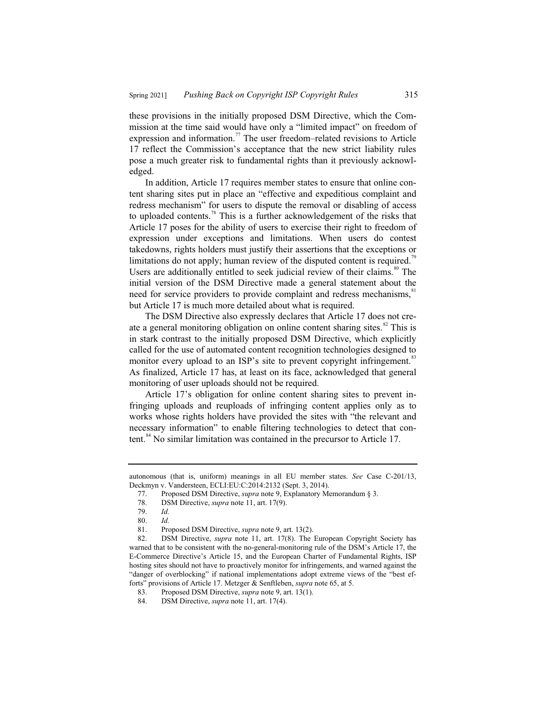these provisions in the initially proposed DSM Directive, which the Commission at the time said would have only a "limited impact" on freedom of expression and information.<sup>77</sup> The user freedom–related revisions to Article 17 reflect the Commission's acceptance that the new strict liability rules pose a much greater risk to fundamental rights than it previously acknowledged.

In addition, Article 17 requires member states to ensure that online content sharing sites put in place an "effective and expeditious complaint and redress mechanism" for users to dispute the removal or disabling of access to uploaded contents.<sup>78</sup> This is a further acknowledgement of the risks that Article 17 poses for the ability of users to exercise their right to freedom of expression under exceptions and limitations. When users do contest takedowns, rights holders must justify their assertions that the exceptions or limitations do not apply; human review of the disputed content is required.<sup>79</sup> Users are additionally entitled to seek judicial review of their claims. $80$  The initial version of the DSM Directive made a general statement about the need for service providers to provide complaint and redress mechanisms,<sup>81</sup> but Article 17 is much more detailed about what is required.

The DSM Directive also expressly declares that Article 17 does not create a general monitoring obligation on online content sharing sites. $82$  This is in stark contrast to the initially proposed DSM Directive, which explicitly called for the use of automated content recognition technologies designed to monitor every upload to an ISP's site to prevent copyright infringement.<sup>83</sup> As finalized, Article 17 has, at least on its face, acknowledged that general monitoring of user uploads should not be required.

Article 17's obligation for online content sharing sites to prevent infringing uploads and reuploads of infringing content applies only as to works whose rights holders have provided the sites with "the relevant and necessary information" to enable filtering technologies to detect that content.<sup>84</sup> No similar limitation was contained in the precursor to Article 17.

autonomous (that is, uniform) meanings in all EU member states. *See* Case C-201/13, Deckmyn v. Vandersteen, ECLI:EU:C:2014:2132 (Sept. 3, 2014).

<sup>77.</sup> Proposed DSM Directive, *supra* note 9, Explanatory Memorandum § 3.

<sup>78.</sup> DSM Directive, *supra* note 11, art. 17(9).

<sup>79.</sup> *Id.*

<sup>80.</sup> *Id.*

<sup>81.</sup> Proposed DSM Directive, *supra* note 9, art. 13(2).<br>82. DSM Directive, *supra* note 11, art. 17(8). The

DSM Directive, *supra* note 11, art. 17(8). The European Copyright Society has warned that to be consistent with the no-general-monitoring rule of the DSM's Article 17, the E-Commerce Directive's Article 15, and the European Charter of Fundamental Rights, ISP hosting sites should not have to proactively monitor for infringements, and warned against the "danger of overblocking" if national implementations adopt extreme views of the "best efforts" provisions of Article 17. Metzger & Senftleben, *supra* note 65, at 5.

<sup>83.</sup> Proposed DSM Directive, *supra* note 9, art. 13(1).

<sup>84.</sup> DSM Directive, *supra* note 11, art. 17(4).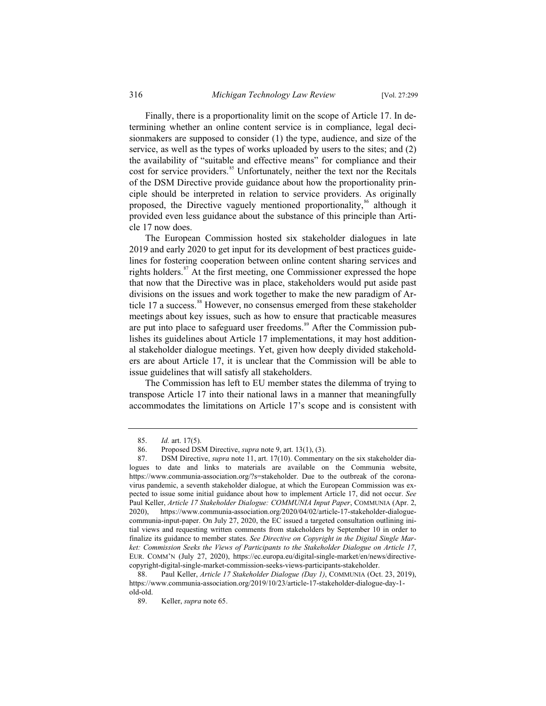Finally, there is a proportionality limit on the scope of Article 17. In determining whether an online content service is in compliance, legal decisionmakers are supposed to consider (1) the type, audience, and size of the service, as well as the types of works uploaded by users to the sites; and (2) the availability of "suitable and effective means" for compliance and their cost for service providers.<sup>85</sup> Unfortunately, neither the text nor the Recitals of the DSM Directive provide guidance about how the proportionality principle should be interpreted in relation to service providers. As originally proposed, the Directive vaguely mentioned proportionality,<sup>86</sup> although it provided even less guidance about the substance of this principle than Article 17 now does.

The European Commission hosted six stakeholder dialogues in late 2019 and early 2020 to get input for its development of best practices guidelines for fostering cooperation between online content sharing services and rights holders.<sup>87</sup> At the first meeting, one Commissioner expressed the hope that now that the Directive was in place, stakeholders would put aside past divisions on the issues and work together to make the new paradigm of Article 17 a success.<sup>88</sup> However, no consensus emerged from these stakeholder meetings about key issues, such as how to ensure that practicable measures are put into place to safeguard user freedoms.<sup>89</sup> After the Commission publishes its guidelines about Article 17 implementations, it may host additional stakeholder dialogue meetings. Yet, given how deeply divided stakeholders are about Article 17, it is unclear that the Commission will be able to issue guidelines that will satisfy all stakeholders.

The Commission has left to EU member states the dilemma of trying to transpose Article 17 into their national laws in a manner that meaningfully accommodates the limitations on Article 17's scope and is consistent with

<sup>85.</sup> *Id.* art. 17(5).

<sup>86.</sup> Proposed DSM Directive, *supra* note 9, art. 13(1), (3).

<sup>87.</sup> DSM Directive, *supra* note 11, art. 17(10). Commentary on the six stakeholder dialogues to date and links to materials are available on the Communia website, https://www.communia-association.org/?s=stakeholder. Due to the outbreak of the coronavirus pandemic, a seventh stakeholder dialogue, at which the European Commission was expected to issue some initial guidance about how to implement Article 17, did not occur. *See* Paul Keller, *Article 17 Stakeholder Dialogue: COMMUNIA Input Paper*, COMMUNIA (Apr. 2, 2020), https://www.communia-association.org/2020/04/02/article-17-stakeholder-dialoguecommunia-input-paper. On July 27, 2020, the EC issued a targeted consultation outlining initial views and requesting written comments from stakeholders by September 10 in order to finalize its guidance to member states. *See Directive on Copyright in the Digital Single Market: Commission Seeks the Views of Participants to the Stakeholder Dialogue on Article 17*, EUR. COMM'N (July 27, 2020), https://ec.europa.eu/digital-single-market/en/news/directivecopyright-digital-single-market-commission-seeks-views-participants-stakeholder.<br>88. Paul Keller, Article 17 Stakeholder Dialogue (Day 1), COMMUNIA (Oct

<sup>88.</sup> Paul Keller, *Article 17 Stakeholder Dialogue (Day 1)*, COMMUNIA (Oct. 23, 2019), https://www.communia-association.org/2019/10/23/article-17-stakeholder-dialogue-day-1 old-old.

<sup>89.</sup> Keller, *supra* note 65.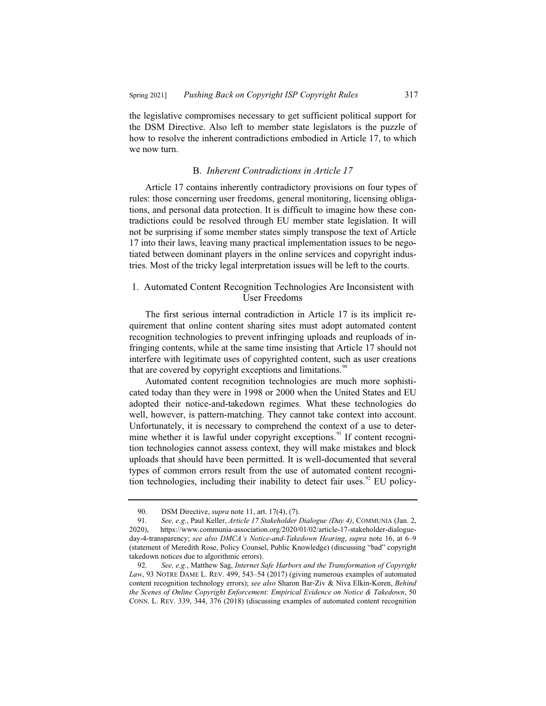the legislative compromises necessary to get sufficient political support for the DSM Directive. Also left to member state legislators is the puzzle of how to resolve the inherent contradictions embodied in Article 17, to which we now turn.

#### B. *Inherent Contradictions in Article 17*

Article 17 contains inherently contradictory provisions on four types of rules: those concerning user freedoms, general monitoring, licensing obligations, and personal data protection. It is difficult to imagine how these contradictions could be resolved through EU member state legislation. It will not be surprising if some member states simply transpose the text of Article 17 into their laws, leaving many practical implementation issues to be negotiated between dominant players in the online services and copyright industries. Most of the tricky legal interpretation issues will be left to the courts.

## 1. Automated Content Recognition Technologies Are Inconsistent with User Freedoms

The first serious internal contradiction in Article 17 is its implicit requirement that online content sharing sites must adopt automated content recognition technologies to prevent infringing uploads and reuploads of infringing contents, while at the same time insisting that Article 17 should not interfere with legitimate uses of copyrighted content, such as user creations that are covered by copyright exceptions and limitations.<sup>90</sup>

Automated content recognition technologies are much more sophisticated today than they were in 1998 or 2000 when the United States and EU adopted their notice-and-takedown regimes. What these technologies do well, however, is pattern-matching. They cannot take context into account. Unfortunately, it is necessary to comprehend the context of a use to determine whether it is lawful under copyright exceptions.<sup>91</sup> If content recognition technologies cannot assess context, they will make mistakes and block uploads that should have been permitted. It is well-documented that several types of common errors result from the use of automated content recognition technologies, including their inability to detect fair uses.<sup>92</sup> EU policy-

<sup>90.</sup> DSM Directive, *supra* note 11, art. 17(4), (7).<br>91. See, e.g., Paul Keller, *Article 17 Stakeholder* 

<sup>91</sup>*. See, e.g.*, Paul Keller, *Article 17 Stakeholder Dialogue (Day 4)*, COMMUNIA (Jan. 2, 2020), https://www.communia-association.org/2020/01/02/article-17-stakeholder-dialogueday-4-transparency; *see also DMCA's Notice-and-Takedown Hearing*, *supra* note 16, at 6–9 (statement of Meredith Rose, Policy Counsel, Public Knowledge) (discussing "bad" copyright takedown notices due to algorithmic errors).

<sup>92.</sup> *See, e.g.*, Matthew Sag, *Internet Safe Harbors and the Transformation of Copyright Law*, 93 NOTRE DAME L. REV. 499, 543–54 (2017) (giving numerous examples of automated content recognition technology errors); *see also* Sharon Bar-Ziv & Niva Elkin-Koren, *Behind the Scenes of Online Copyright Enforcement: Empirical Evidence on Notice & Takedown*, 50 CONN. L. REV. 339, 344, 376 (2018) (discussing examples of automated content recognition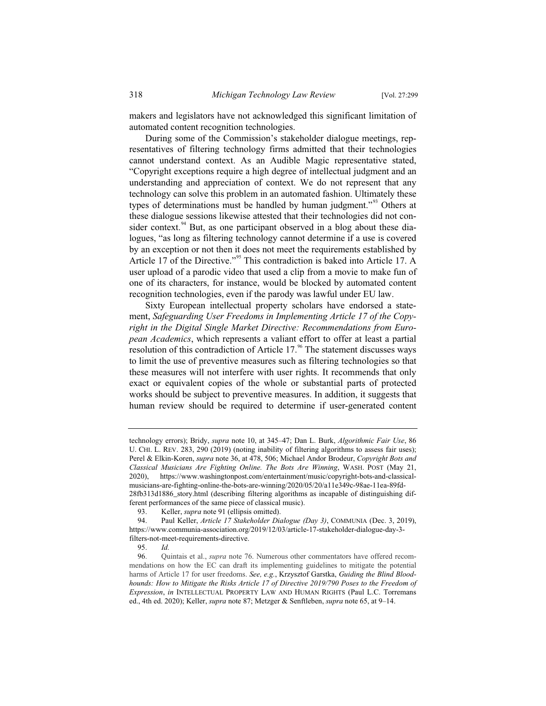makers and legislators have not acknowledged this significant limitation of automated content recognition technologies.

During some of the Commission's stakeholder dialogue meetings, representatives of filtering technology firms admitted that their technologies cannot understand context. As an Audible Magic representative stated, "Copyright exceptions require a high degree of intellectual judgment and an understanding and appreciation of context. We do not represent that any technology can solve this problem in an automated fashion. Ultimately these types of determinations must be handled by human judgment."<sup>93</sup> Others at these dialogue sessions likewise attested that their technologies did not consider context.<sup>94</sup> But, as one participant observed in a blog about these dialogues, "as long as filtering technology cannot determine if a use is covered by an exception or not then it does not meet the requirements established by Article 17 of the Directive."<sup>95</sup> This contradiction is baked into Article 17. A user upload of a parodic video that used a clip from a movie to make fun of one of its characters, for instance, would be blocked by automated content recognition technologies, even if the parody was lawful under EU law.

Sixty European intellectual property scholars have endorsed a statement, *Safeguarding User Freedoms in Implementing Article 17 of the Copyright in the Digital Single Market Directive: Recommendations from European Academics*, which represents a valiant effort to offer at least a partial resolution of this contradiction of Article  $17<sup>96</sup>$  The statement discusses ways to limit the use of preventive measures such as filtering technologies so that these measures will not interfere with user rights. It recommends that only exact or equivalent copies of the whole or substantial parts of protected works should be subject to preventive measures. In addition, it suggests that human review should be required to determine if user-generated content

technology errors); Bridy, *supra* note 10, at 345–47; Dan L. Burk, *Algorithmic Fair Use*, 86 U. CHI. L. REV. 283, 290 (2019) (noting inability of filtering algorithms to assess fair uses); Perel & Elkin-Koren, *supra* note 36, at 478, 506; Michael Andor Brodeur, *Copyright Bots and Classical Musicians Are Fighting Online. The Bots Are Winning*, WASH. POST (May 21, 2020), https://www.washingtonpost.com/entertainment/music/copyright-bots-and-classicalmusicians-are-fighting-online-the-bots-are-winning/2020/05/20/a11e349c-98ae-11ea-89fd-28fb313d1886\_story.html (describing filtering algorithms as incapable of distinguishing different performances of the same piece of classical music).

<sup>93.</sup> Keller, *supra* note 91 (ellipsis omitted).

<sup>94.</sup> Paul Keller, *Article 17 Stakeholder Dialogue (Day 3)*, COMMUNIA (Dec. 3, 2019), https://www.communia-association.org/2019/12/03/article-17-stakeholder-dialogue-day-3 filters-not-meet-requirements-directive.

<sup>95.</sup> *Id.*

<sup>96.</sup> Quintais et al., *supra* note 76. Numerous other commentators have offered recommendations on how the EC can draft its implementing guidelines to mitigate the potential harms of Article 17 for user freedoms. *See, e.g.*, Krzysztof Garstka, *Guiding the Blind Bloodhounds: How to Mitigate the Risks Article 17 of Directive 2019/790 Poses to the Freedom of Expression*, *in* INTELLECTUAL PROPERTY LAW AND HUMAN RIGHTS (Paul L.C. Torremans ed., 4th ed. 2020); Keller, *supra* note 87; Metzger & Senftleben, *supra* note 65, at 9–14.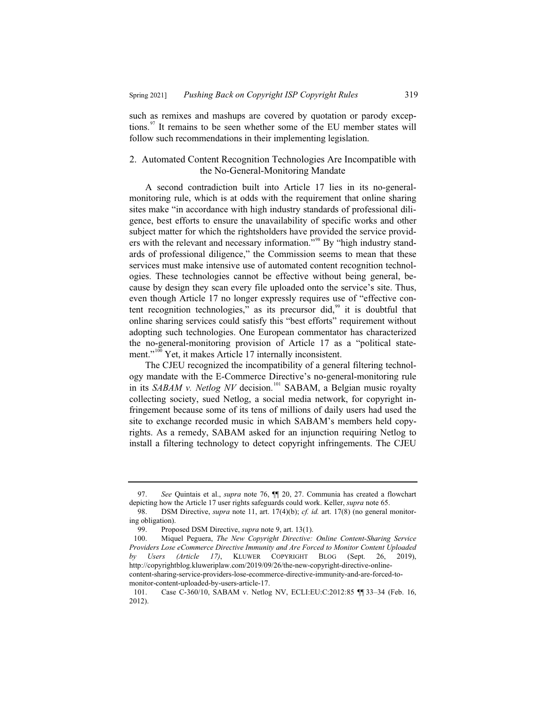such as remixes and mashups are covered by quotation or parody exceptions.<sup>97</sup> It remains to be seen whether some of the EU member states will follow such recommendations in their implementing legislation.

## 2. Automated Content Recognition Technologies Are Incompatible with the No-General-Monitoring Mandate

A second contradiction built into Article 17 lies in its no-generalmonitoring rule, which is at odds with the requirement that online sharing sites make "in accordance with high industry standards of professional diligence, best efforts to ensure the unavailability of specific works and other subject matter for which the rightsholders have provided the service providers with the relevant and necessary information."<sup>98</sup> By "high industry standards of professional diligence," the Commission seems to mean that these services must make intensive use of automated content recognition technologies. These technologies cannot be effective without being general, because by design they scan every file uploaded onto the service's site. Thus, even though Article 17 no longer expressly requires use of "effective content recognition technologies," as its precursor did, $99$  it is doubtful that online sharing services could satisfy this "best efforts" requirement without adopting such technologies. One European commentator has characterized the no-general-monitoring provision of Article 17 as a "political statement."<sup>100</sup> Yet, it makes Article 17 internally inconsistent.

The CJEU recognized the incompatibility of a general filtering technology mandate with the E-Commerce Directive's no-general-monitoring rule in its *SABAM v. Netlog NV* decision.<sup>101</sup> SABAM, a Belgian music royalty collecting society, sued Netlog, a social media network, for copyright infringement because some of its tens of millions of daily users had used the site to exchange recorded music in which SABAM's members held copyrights. As a remedy, SABAM asked for an injunction requiring Netlog to install a filtering technology to detect copyright infringements. The CJEU

<sup>97.</sup> *See* Quintais et al., *supra* note 76, ¶¶ 20, 27. Communia has created a flowchart depicting how the Article 17 user rights safeguards could work. Keller, *supra* note 65.<br>98. DSM Directive, *supra* note 11, art. 17(4)(b); *cf. id.* art. 17(8) (no general

DSM Directive, *supra* note 11, art. 17(4)(b); *cf. id.* art. 17(8) (no general monitoring obligation).

<sup>99.</sup> Proposed DSM Directive, *supra* note 9, art. 13(1).<br>100. Miquel Peguera, *The New Copyright Directive*:

<sup>100.</sup> Miquel Peguera, *The New Copyright Directive: Online Content-Sharing Service Providers Lose eCommerce Directive Immunity and Are Forced to Monitor Content Uploaded by Users (Article 17)*, KLUWER COPYRIGHT BLOG (Sept. 26, 2019), http://copyrightblog.kluweriplaw.com/2019/09/26/the-new-copyright-directive-onlinecontent-sharing-service-providers-lose-ecommerce-directive-immunity-and-are-forced-tomonitor-content-uploaded-by-users-article-17.

<sup>101.</sup> Case C-360/10, SABAM v. Netlog NV, ECLI:EU:C:2012:85 [ 33-34 (Feb. 16, 2012).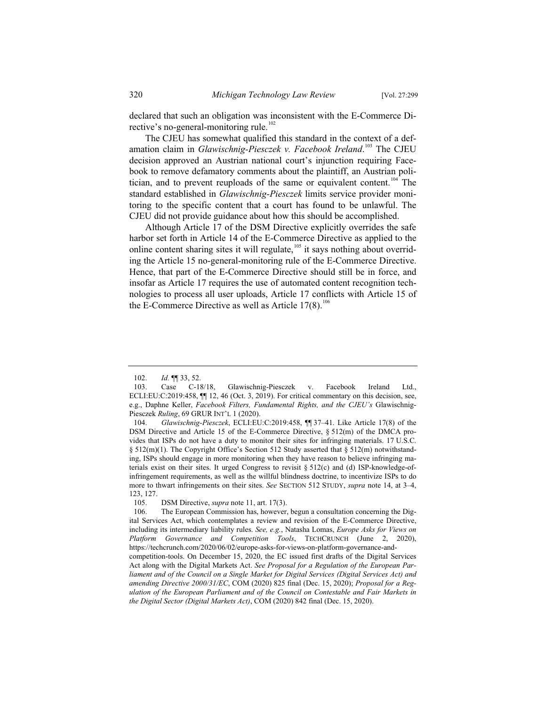declared that such an obligation was inconsistent with the E-Commerce Directive's no-general-monitoring rule.<sup>102</sup>

The CJEU has somewhat qualified this standard in the context of a defamation claim in *Glawischnig-Piesczek v. Facebook Ireland*. <sup>103</sup> The CJEU decision approved an Austrian national court's injunction requiring Facebook to remove defamatory comments about the plaintiff, an Austrian politician, and to prevent reuploads of the same or equivalent content.<sup>104</sup> The standard established in *Glawischnig-Piesczek* limits service provider monitoring to the specific content that a court has found to be unlawful. The CJEU did not provide guidance about how this should be accomplished.

Although Article 17 of the DSM Directive explicitly overrides the safe harbor set forth in Article 14 of the E-Commerce Directive as applied to the online content sharing sites it will regulate,<sup>105</sup> it says nothing about overriding the Article 15 no-general-monitoring rule of the E-Commerce Directive. Hence, that part of the E-Commerce Directive should still be in force, and insofar as Article 17 requires the use of automated content recognition technologies to process all user uploads, Article 17 conflicts with Article 15 of the E-Commerce Directive as well as Article  $17(8)$ .<sup>106</sup>

<sup>102.</sup> *Id.* ¶¶ 33, 52.

<sup>103.</sup> Case C-18/18, Glawischnig-Piesczek v. Facebook Ireland Ltd., ECLI:EU:C:2019:458,  $\P$  12, 46 (Oct. 3, 2019). For critical commentary on this decision, see, e.g., Daphne Keller, *Facebook Filters, Fundamental Rights, and the CJEU's* Glawischnig-Piesczek *Ruling*, 69 GRUR INT'L 1 (2020).

<sup>104.</sup> *Glawischnig-Piesczek*, ECLI:EU:C:2019:458, ¶¶ 37–41. Like Article 17(8) of the DSM Directive and Article 15 of the E-Commerce Directive, § 512(m) of the DMCA provides that ISPs do not have a duty to monitor their sites for infringing materials. 17 U.S.C. § 512(m)(1). The Copyright Office's Section 512 Study asserted that § 512(m) notwithstanding, ISPs should engage in more monitoring when they have reason to believe infringing materials exist on their sites. It urged Congress to revisit  $\S 512(c)$  and (d) ISP-knowledge-ofinfringement requirements, as well as the willful blindness doctrine, to incentivize ISPs to do more to thwart infringements on their sites. *See* SECTION 512 STUDY, *supra* note 14, at 3–4, 123, 127.

<sup>105.</sup> DSM Directive, *supra* note 11, art. 17(3).

<sup>106.</sup> The European Commission has, however, begun a consultation concerning the Digital Services Act, which contemplates a review and revision of the E-Commerce Directive, including its intermediary liability rules. *See, e.g.*, Natasha Lomas, *Europe Asks for Views on Platform Governance and Competition Tools*, TECHCRUNCH (June 2, 2020), https://techcrunch.com/2020/06/02/europe-asks-for-views-on-platform-governance-and-

competition-tools. On December 15, 2020, the EC issued first drafts of the Digital Services Act along with the Digital Markets Act. *See Proposal for a Regulation of the European Parliament and of the Council on a Single Market for Digital Services (Digital Services Act) and amending Directive 2000/31/EC*, COM (2020) 825 final (Dec. 15, 2020); *Proposal for a Regulation of the European Parliament and of the Council on Contestable and Fair Markets in the Digital Sector (Digital Markets Act)*, COM (2020) 842 final (Dec. 15, 2020).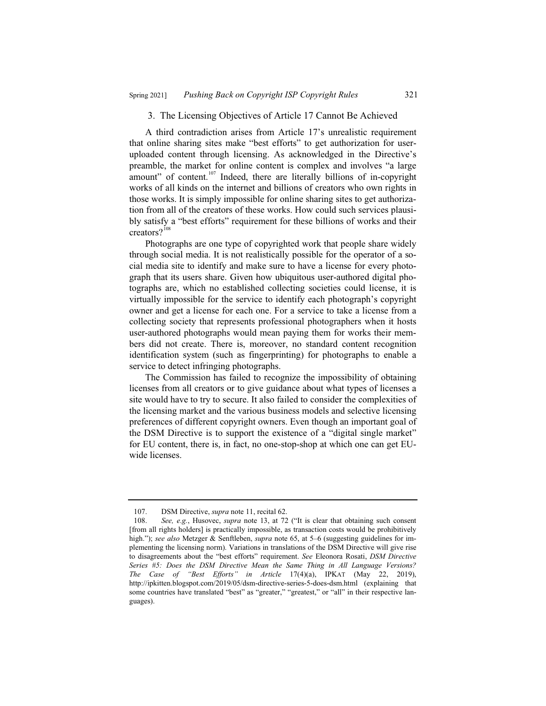#### 3. The Licensing Objectives of Article 17 Cannot Be Achieved

A third contradiction arises from Article 17's unrealistic requirement that online sharing sites make "best efforts" to get authorization for useruploaded content through licensing. As acknowledged in the Directive's preamble, the market for online content is complex and involves "a large amount" of content.<sup>107</sup> Indeed, there are literally billions of in-copyright works of all kinds on the internet and billions of creators who own rights in those works. It is simply impossible for online sharing sites to get authorization from all of the creators of these works. How could such services plausibly satisfy a "best efforts" requirement for these billions of works and their creators?<sup>108</sup>

Photographs are one type of copyrighted work that people share widely through social media. It is not realistically possible for the operator of a social media site to identify and make sure to have a license for every photograph that its users share. Given how ubiquitous user-authored digital photographs are, which no established collecting societies could license, it is virtually impossible for the service to identify each photograph's copyright owner and get a license for each one. For a service to take a license from a collecting society that represents professional photographers when it hosts user-authored photographs would mean paying them for works their members did not create. There is, moreover, no standard content recognition identification system (such as fingerprinting) for photographs to enable a service to detect infringing photographs.

The Commission has failed to recognize the impossibility of obtaining licenses from all creators or to give guidance about what types of licenses a site would have to try to secure. It also failed to consider the complexities of the licensing market and the various business models and selective licensing preferences of different copyright owners. Even though an important goal of the DSM Directive is to support the existence of a "digital single market" for EU content, there is, in fact, no one-stop-shop at which one can get EUwide licenses.

<sup>107.</sup> DSM Directive, *supra* note 11, recital 62.

<sup>108.</sup> *See, e.g.*, Husovec, *supra* note 13, at 72 ("It is clear that obtaining such consent [from all rights holders] is practically impossible, as transaction costs would be prohibitively high."); *see also* Metzger & Senftleben, *supra* note 65, at 5–6 (suggesting guidelines for implementing the licensing norm). Variations in translations of the DSM Directive will give rise to disagreements about the "best efforts" requirement. *See* Eleonora Rosati, *DSM Directive Series #5: Does the DSM Directive Mean the Same Thing in All Language Versions? The Case of "Best Efforts" in Article* 17(4)(a), IPKAT (May 22, 2019), http://ipkitten.blogspot.com/2019/05/dsm-directive-series-5-does-dsm.html (explaining that some countries have translated "best" as "greater," "greatest," or "all" in their respective languages).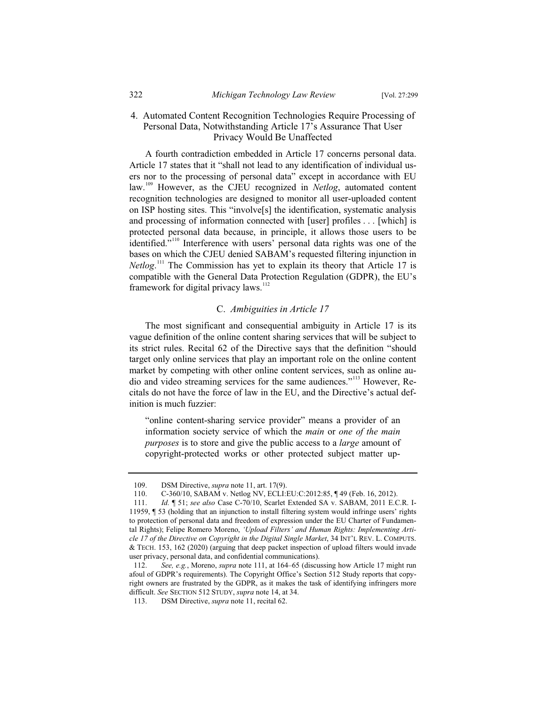## 4. Automated Content Recognition Technologies Require Processing of Personal Data, Notwithstanding Article 17's Assurance That User Privacy Would Be Unaffected

A fourth contradiction embedded in Article 17 concerns personal data. Article 17 states that it "shall not lead to any identification of individual users nor to the processing of personal data" except in accordance with EU law.<sup>109</sup> However, as the CJEU recognized in *Netlog*, automated content recognition technologies are designed to monitor all user-uploaded content on ISP hosting sites. This "involve[s] the identification, systematic analysis and processing of information connected with [user] profiles . . . [which] is protected personal data because, in principle, it allows those users to be identified."<sup>110</sup> Interference with users' personal data rights was one of the bases on which the CJEU denied SABAM's requested filtering injunction in *Netlog*. <sup>111</sup> The Commission has yet to explain its theory that Article 17 is compatible with the General Data Protection Regulation (GDPR), the EU's framework for digital privacy laws. $112$ 

## C. *Ambiguities in Article 17*

The most significant and consequential ambiguity in Article 17 is its vague definition of the online content sharing services that will be subject to its strict rules. Recital 62 of the Directive says that the definition "should target only online services that play an important role on the online content market by competing with other online content services, such as online audio and video streaming services for the same audiences."<sup>113</sup> However, Recitals do not have the force of law in the EU, and the Directive's actual definition is much fuzzier:

"online content-sharing service provider" means a provider of an information society service of which the *main* or *one of the main purposes* is to store and give the public access to a *large* amount of copyright-protected works or other protected subject matter up-

<sup>109.</sup> **DSM Directive,** *supra* note 11, art. 17(9).<br>110. **C-360/10, SABAM v. Netlog NV, ECLI:** 

<sup>110.</sup> C-360/10, SABAM v. Netlog NV, ECLI:EU:C:2012:85, ¶ 49 (Feb. 16, 2012).

<sup>111.</sup> *Id.* ¶ 51; *see also* Case C-70/10, Scarlet Extended SA v. SABAM, 2011 E.C.R. I-11959, ¶ 53 (holding that an injunction to install filtering system would infringe users' rights to protection of personal data and freedom of expression under the EU Charter of Fundamental Rights); Felipe Romero Moreno, *'Upload Filters' and Human Rights: Implementing Article 17 of the Directive on Copyright in the Digital Single Market*, 34 INT'L REV. L. COMPUTS. & TECH. 153, 162 (2020) (arguing that deep packet inspection of upload filters would invade user privacy, personal data, and confidential communications).

<sup>112.</sup> *See, e.g.*, Moreno, *supra* note 111, at 164–65 (discussing how Article 17 might run afoul of GDPR's requirements). The Copyright Office's Section 512 Study reports that copyright owners are frustrated by the GDPR, as it makes the task of identifying infringers more difficult. *See* SECTION 512 STUDY, *supra* note 14, at 34.

<sup>113.</sup> DSM Directive, *supra* note 11, recital 62.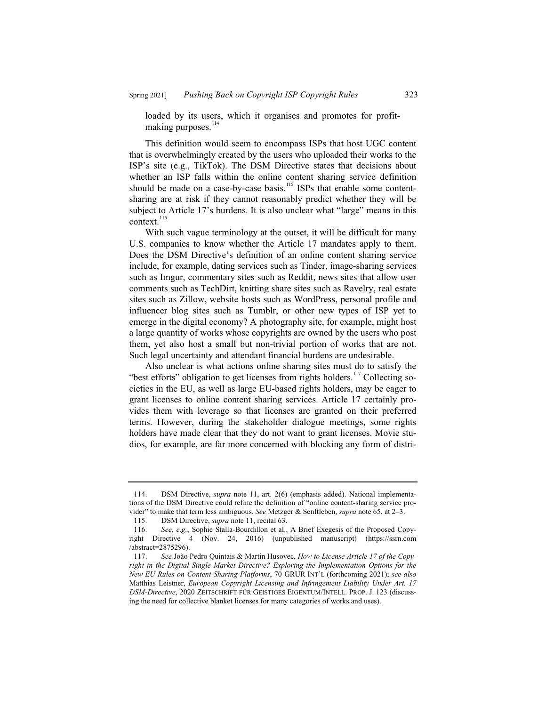loaded by its users, which it organises and promotes for profitmaking purposes. $114$ 

This definition would seem to encompass ISPs that host UGC content that is overwhelmingly created by the users who uploaded their works to the ISP's site (e.g., TikTok). The DSM Directive states that decisions about whether an ISP falls within the online content sharing service definition should be made on a case-by-case basis.<sup>115</sup> ISPs that enable some contentsharing are at risk if they cannot reasonably predict whether they will be subject to Article 17's burdens. It is also unclear what "large" means in this  $context.<sup>116</sup>$ 

With such vague terminology at the outset, it will be difficult for many U.S. companies to know whether the Article 17 mandates apply to them. Does the DSM Directive's definition of an online content sharing service include, for example, dating services such as Tinder, image-sharing services such as Imgur, commentary sites such as Reddit, news sites that allow user comments such as TechDirt, knitting share sites such as Ravelry, real estate sites such as Zillow, website hosts such as WordPress, personal profile and influencer blog sites such as Tumblr, or other new types of ISP yet to emerge in the digital economy? A photography site, for example, might host a large quantity of works whose copyrights are owned by the users who post them, yet also host a small but non-trivial portion of works that are not. Such legal uncertainty and attendant financial burdens are undesirable.

Also unclear is what actions online sharing sites must do to satisfy the "best efforts" obligation to get licenses from rights holders.<sup>117</sup> Collecting societies in the EU, as well as large EU-based rights holders, may be eager to grant licenses to online content sharing services. Article 17 certainly provides them with leverage so that licenses are granted on their preferred terms. However, during the stakeholder dialogue meetings, some rights holders have made clear that they do not want to grant licenses. Movie studios, for example, are far more concerned with blocking any form of distri-

<sup>114.</sup> DSM Directive, *supra* note 11, art. 2(6) (emphasis added). National implementations of the DSM Directive could refine the definition of "online content-sharing service provider" to make that term less ambiguous. *See* Metzger & Senftleben, *supra* note 65, at 2–3.

<sup>115.</sup> DSM Directive, *supra* note 11, recital 63.

<sup>116.</sup> *See, e.g.*, Sophie Stalla-Bourdillon et al., A Brief Exegesis of the Proposed Copyright Directive 4 (Nov. 24, 2016) (unpublished manuscript) (https://ssrn.com /abstract=2875296).

<sup>117.</sup> *See* João Pedro Quintais & Martin Husovec, *How to License Article 17 of the Copyright in the Digital Single Market Directive? Exploring the Implementation Options for the New EU Rules on Content-Sharing Platforms*, 70 GRUR INT'L (forthcoming 2021); *see also* Matthias Leistner, *European Copyright Licensing and Infringement Liability Under Art. 17 DSM-Directive*, 2020 ZEITSCHRIFT FÜR GEISTIGES EIGENTUM/INTELL. PROP. J. 123 (discussing the need for collective blanket licenses for many categories of works and uses).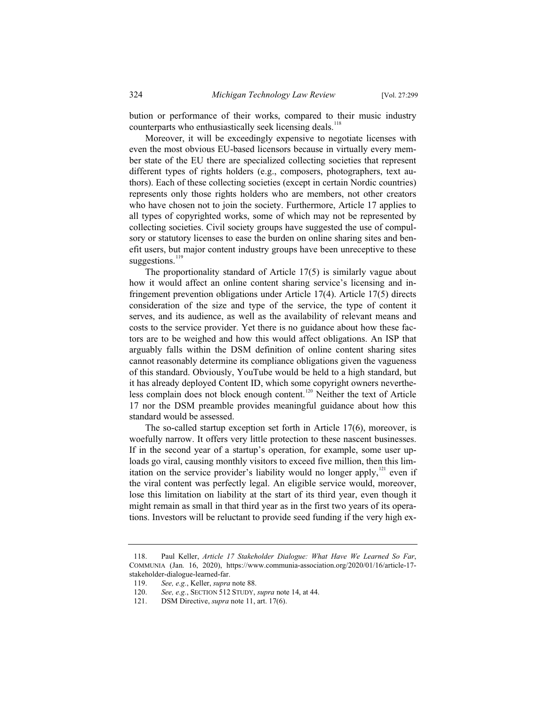bution or performance of their works, compared to their music industry counterparts who enthusiastically seek licensing deals.<sup>118</sup>

Moreover, it will be exceedingly expensive to negotiate licenses with even the most obvious EU-based licensors because in virtually every member state of the EU there are specialized collecting societies that represent different types of rights holders (e.g., composers, photographers, text authors). Each of these collecting societies (except in certain Nordic countries) represents only those rights holders who are members, not other creators who have chosen not to join the society. Furthermore, Article 17 applies to all types of copyrighted works, some of which may not be represented by collecting societies. Civil society groups have suggested the use of compulsory or statutory licenses to ease the burden on online sharing sites and benefit users, but major content industry groups have been unreceptive to these suggestions.<sup>119</sup>

The proportionality standard of Article 17(5) is similarly vague about how it would affect an online content sharing service's licensing and infringement prevention obligations under Article 17(4). Article 17(5) directs consideration of the size and type of the service, the type of content it serves, and its audience, as well as the availability of relevant means and costs to the service provider. Yet there is no guidance about how these factors are to be weighed and how this would affect obligations. An ISP that arguably falls within the DSM definition of online content sharing sites cannot reasonably determine its compliance obligations given the vagueness of this standard. Obviously, YouTube would be held to a high standard, but it has already deployed Content ID, which some copyright owners nevertheless complain does not block enough content.<sup>120</sup> Neither the text of Article 17 nor the DSM preamble provides meaningful guidance about how this standard would be assessed.

The so-called startup exception set forth in Article 17(6), moreover, is woefully narrow. It offers very little protection to these nascent businesses. If in the second year of a startup's operation, for example, some user uploads go viral, causing monthly visitors to exceed five million, then this limitation on the service provider's liability would no longer apply, $121$  even if the viral content was perfectly legal. An eligible service would, moreover, lose this limitation on liability at the start of its third year, even though it might remain as small in that third year as in the first two years of its operations. Investors will be reluctant to provide seed funding if the very high ex-

<sup>118.</sup> Paul Keller, *Article 17 Stakeholder Dialogue: What Have We Learned So Far*, COMMUNIA (Jan. 16, 2020), https://www.communia-association.org/2020/01/16/article-17 stakeholder-dialogue-learned-far.

<sup>119.</sup> *See, e.g.*, Keller, *supra* note 88.

See, e.g., SECTION 512 STUDY, *supra* note 14, at 44.

<sup>121.</sup> DSM Directive, *supra* note 11, art. 17(6).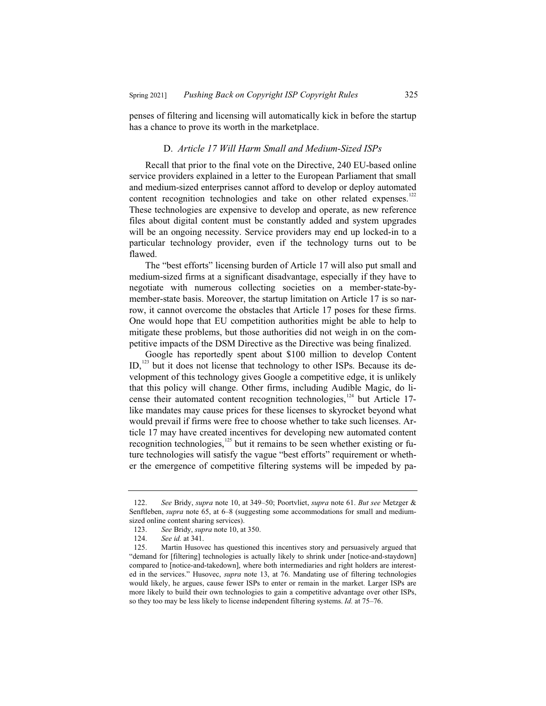penses of filtering and licensing will automatically kick in before the startup has a chance to prove its worth in the marketplace.

#### D. *Article 17 Will Harm Small and Medium-Sized ISPs*

Recall that prior to the final vote on the Directive, 240 EU-based online service providers explained in a letter to the European Parliament that small and medium-sized enterprises cannot afford to develop or deploy automated content recognition technologies and take on other related expenses.<sup>122</sup> These technologies are expensive to develop and operate, as new reference files about digital content must be constantly added and system upgrades will be an ongoing necessity. Service providers may end up locked-in to a particular technology provider, even if the technology turns out to be flawed.

The "best efforts" licensing burden of Article 17 will also put small and medium-sized firms at a significant disadvantage, especially if they have to negotiate with numerous collecting societies on a member-state-bymember-state basis. Moreover, the startup limitation on Article 17 is so narrow, it cannot overcome the obstacles that Article 17 poses for these firms. One would hope that EU competition authorities might be able to help to mitigate these problems, but those authorities did not weigh in on the competitive impacts of the DSM Directive as the Directive was being finalized.

Google has reportedly spent about \$100 million to develop Content ID,<sup>123</sup> but it does not license that technology to other ISPs. Because its development of this technology gives Google a competitive edge, it is unlikely that this policy will change. Other firms, including Audible Magic, do license their automated content recognition technologies,<sup>124</sup> but Article 17like mandates may cause prices for these licenses to skyrocket beyond what would prevail if firms were free to choose whether to take such licenses. Article 17 may have created incentives for developing new automated content recognition technologies, $125$  but it remains to be seen whether existing or future technologies will satisfy the vague "best efforts" requirement or whether the emergence of competitive filtering systems will be impeded by pa-

<sup>122.</sup> *See* Bridy, *supra* note 10, at 349–50; Poortvliet, *supra* note 61. *But see* Metzger & Senftleben, *supra* note 65, at 6–8 (suggesting some accommodations for small and mediumsized online content sharing services).

<sup>123.</sup> *See* Bridy, *supra* note 10, at 350.

See id. at 341.

<sup>125.</sup> Martin Husovec has questioned this incentives story and persuasively argued that "demand for [filtering] technologies is actually likely to shrink under [notice-and-staydown] compared to [notice-and-takedown], where both intermediaries and right holders are interested in the services." Husovec, *supra* note 13, at 76. Mandating use of filtering technologies would likely, he argues, cause fewer ISPs to enter or remain in the market. Larger ISPs are more likely to build their own technologies to gain a competitive advantage over other ISPs, so they too may be less likely to license independent filtering systems. *Id.* at 75–76.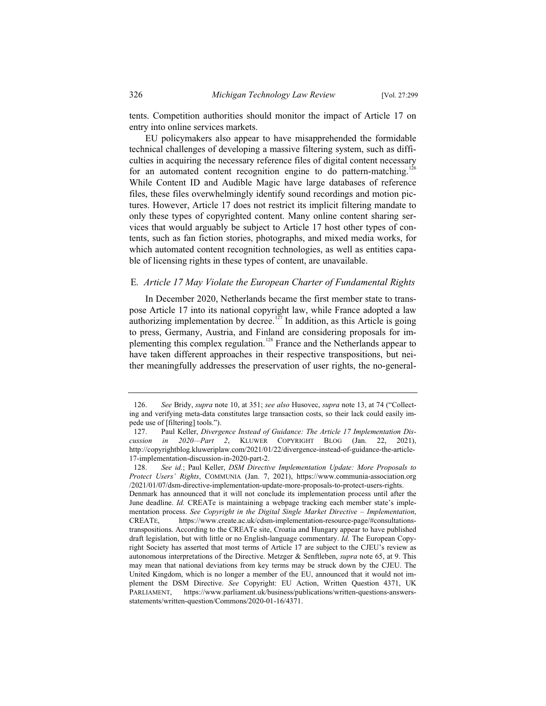tents. Competition authorities should monitor the impact of Article 17 on entry into online services markets.

EU policymakers also appear to have misapprehended the formidable technical challenges of developing a massive filtering system, such as difficulties in acquiring the necessary reference files of digital content necessary for an automated content recognition engine to do pattern-matching.<sup>126</sup> While Content ID and Audible Magic have large databases of reference files, these files overwhelmingly identify sound recordings and motion pictures. However, Article 17 does not restrict its implicit filtering mandate to only these types of copyrighted content. Many online content sharing services that would arguably be subject to Article 17 host other types of contents, such as fan fiction stories, photographs, and mixed media works, for which automated content recognition technologies, as well as entities capable of licensing rights in these types of content, are unavailable.

#### E*. Article 17 May Violate the European Charter of Fundamental Rights*

In December 2020, Netherlands became the first member state to transpose Article 17 into its national copyright law, while France adopted a law authorizing implementation by decree.<sup>127</sup> In addition, as this Article is going to press, Germany, Austria, and Finland are considering proposals for implementing this complex regulation.<sup>128</sup> France and the Netherlands appear to have taken different approaches in their respective transpositions, but neither meaningfully addresses the preservation of user rights, the no-general-

<sup>126.</sup> *See* Bridy, *supra* note 10, at 351; *see also* Husovec, *supra* note 13, at 74 ("Collecting and verifying meta-data constitutes large transaction costs, so their lack could easily impede use of [filtering] tools.").

<sup>127.</sup> Paul Keller, *Divergence Instead of Guidance: The Article 17 Implementation Discussion in 2020—Part 2*, KLUWER COPYRIGHT BLOG (Jan. 22, 2021), http://copyrightblog.kluweriplaw.com/2021/01/22/divergence-instead-of-guidance-the-article-17-implementation-discussion-in-2020-part-2.

<sup>128.</sup> *See id.*; Paul Keller, *DSM Directive Implementation Update: More Proposals to Protect Users' Rights*, COMMUNIA (Jan. 7, 2021), https://www.communia-association.org /2021/01/07/dsm-directive-implementation-update-more-proposals-to-protect-users-rights.

Denmark has announced that it will not conclude its implementation process until after the June deadline. *Id.* CREATe is maintaining a webpage tracking each member state's implementation process. *See Copyright in the Digital Single Market Directive – Implementation*, CREATE, https://www.create.ac.uk/cdsm-implementation-resource-page/#consultationstranspositions. According to the CREATe site, Croatia and Hungary appear to have published draft legislation, but with little or no English-language commentary. *Id.* The European Copyright Society has asserted that most terms of Article 17 are subject to the CJEU's review as autonomous interpretations of the Directive. Metzger & Senftleben, *supra* note 65, at 9. This may mean that national deviations from key terms may be struck down by the CJEU. The United Kingdom, which is no longer a member of the EU, announced that it would not implement the DSM Directive. *See* Copyright: EU Action, Written Question 4371, UK PARLIAMENT, https://www.parliament.uk/business/publications/written-questions-answersstatements/written-question/Commons/2020-01-16/4371.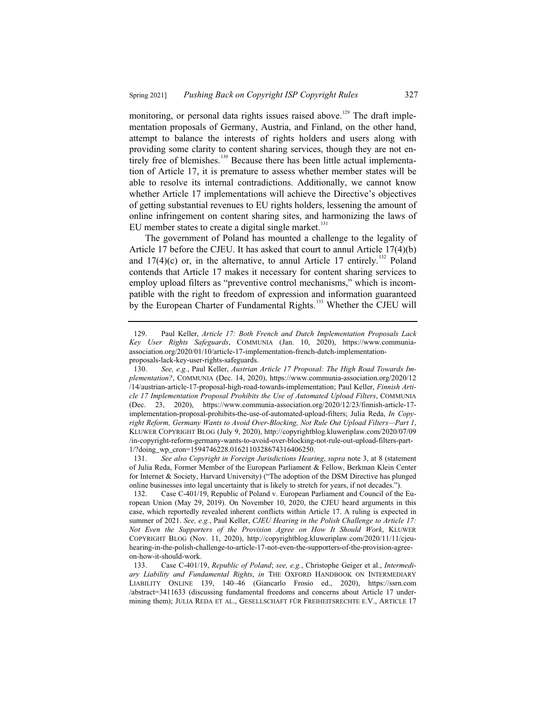monitoring, or personal data rights issues raised above.<sup>129</sup> The draft implementation proposals of Germany, Austria, and Finland, on the other hand, attempt to balance the interests of rights holders and users along with providing some clarity to content sharing services, though they are not entirely free of blemishes.<sup>130</sup> Because there has been little actual implementation of Article 17, it is premature to assess whether member states will be able to resolve its internal contradictions. Additionally, we cannot know whether Article 17 implementations will achieve the Directive's objectives of getting substantial revenues to EU rights holders, lessening the amount of online infringement on content sharing sites, and harmonizing the laws of EU member states to create a digital single market. $^{131}$ 

The government of Poland has mounted a challenge to the legality of Article 17 before the CJEU. It has asked that court to annul Article 17(4)(b) and  $17(4)(c)$  or, in the alternative, to annul Article 17 entirely.<sup>132</sup> Poland contends that Article 17 makes it necessary for content sharing services to employ upload filters as "preventive control mechanisms," which is incompatible with the right to freedom of expression and information guaranteed by the European Charter of Fundamental Rights.<sup>133</sup> Whether the CJEU will

<sup>129.</sup> Paul Keller, *Article 17: Both French and Dutch Implementation Proposals Lack Key User Rights Safeguards*, COMMUNIA (Jan. 10, 2020), https://www.communiaassociation.org/2020/01/10/article-17-implementation-french-dutch-implementationproposals-lack-key-user-rights-safeguards.

<sup>130.</sup> *See, e.g.*, Paul Keller, *Austrian Article 17 Proposal: The High Road Towards Implementation?*, COMMUNIA (Dec. 14, 2020), https://www.communia-association.org/2020/12 /14/austrian-article-17-proposal-high-road-towards-implementation; Paul Keller, *Finnish Article 17 Implementation Proposal Prohibits the Use of Automated Upload Filters*, COMMUNIA (Dec. 23, 2020), https://www.communia-association.org/2020/12/23/finnish-article-17 implementation-proposal-prohibits-the-use-of-automated-upload-filters; Julia Reda, *In Copyright Reform, Germany Wants to Avoid Over-Blocking, Not Rule Out Upload Filters—Part 1*, KLUWER COPYRIGHT BLOG (July 9, 2020), http://copyrightblog.kluweriplaw.com/2020/07/09 /in-copyright-reform-germany-wants-to-avoid-over-blocking-not-rule-out-upload-filters-part-1/?doing\_wp\_cron=1594746228.0162110328674316406250.

<sup>131.</sup> *See also Copyright in Foreign Jurisdictions Hearing*, *supra* note 3, at 8 (statement of Julia Reda, Former Member of the European Parliament & Fellow, Berkman Klein Center for Internet & Society, Harvard University) ("The adoption of the DSM Directive has plunged online businesses into legal uncertainty that is likely to stretch for years, if not decades.").

<sup>132.</sup> Case C-401/19, Republic of Poland v. European Parliament and Council of the European Union (May 29, 2019). On November 10, 2020, the CJEU heard arguments in this case, which reportedly revealed inherent conflicts within Article 17. A ruling is expected in summer of 2021. *See, e.g.*, Paul Keller, *CJEU Hearing in the Polish Challenge to Article 17: Not Even the Supporters of the Provision Agree on How It Should Work*, KLUWER COPYRIGHT BLOG (Nov. 11, 2020), http://copyrightblog.kluweriplaw.com/2020/11/11/cjeuhearing-in-the-polish-challenge-to-article-17-not-even-the-supporters-of-the-provision-agreeon-how-it-should-work.

<sup>133.</sup> Case C-401/19, *Republic of Poland*; *see, e.g.*, Christophe Geiger et al., *Intermediary Liability and Fundamental Rights*, *in* THE OXFORD HANDBOOK ON INTERMEDIARY LIABILITY ONLINE 139, 140–46 (Giancarlo Frosio ed., 2020), https://ssrn.com /abstract=3411633 (discussing fundamental freedoms and concerns about Article 17 undermining them); JULIA REDA ET AL., GESELLSCHAFT FÜR FREIHEITSRECHTE E.V., ARTICLE 17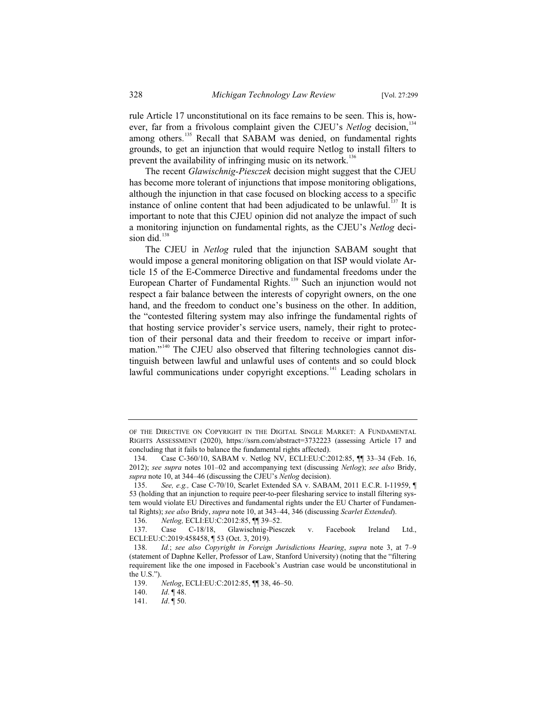rule Article 17 unconstitutional on its face remains to be seen. This is, however, far from a frivolous complaint given the CJEU's *Netlog* decision,<sup>134</sup> among others.<sup>135</sup> Recall that SABAM was denied, on fundamental rights grounds, to get an injunction that would require Netlog to install filters to prevent the availability of infringing music on its network.<sup>136</sup>

The recent *Glawischnig-Piesczek* decision might suggest that the CJEU has become more tolerant of injunctions that impose monitoring obligations, although the injunction in that case focused on blocking access to a specific instance of online content that had been adjudicated to be unlawful.<sup>137</sup> It is important to note that this CJEU opinion did not analyze the impact of such a monitoring injunction on fundamental rights, as the CJEU's *Netlog* decision did. $138$ 

The CJEU in *Netlog* ruled that the injunction SABAM sought that would impose a general monitoring obligation on that ISP would violate Article 15 of the E-Commerce Directive and fundamental freedoms under the European Charter of Fundamental Rights.<sup>139</sup> Such an injunction would not respect a fair balance between the interests of copyright owners, on the one hand, and the freedom to conduct one's business on the other. In addition, the "contested filtering system may also infringe the fundamental rights of that hosting service provider's service users, namely, their right to protection of their personal data and their freedom to receive or impart information."<sup>140</sup> The CJEU also observed that filtering technologies cannot distinguish between lawful and unlawful uses of contents and so could block lawful communications under copyright exceptions.<sup>141</sup> Leading scholars in

OF THE DIRECTIVE ON COPYRIGHT IN THE DIGITAL SINGLE MARKET: A FUNDAMENTAL RIGHTS ASSESSMENT (2020), https://ssrn.com/abstract=3732223 (assessing Article 17 and concluding that it fails to balance the fundamental rights affected).

<sup>134.</sup> Case C-360/10, SABAM v. Netlog NV, ECLI:EU:C:2012:85, ¶¶ 33–34 (Feb. 16, 2012); *see supra* notes 101–02 and accompanying text (discussing *Netlog*); *see also* Bridy, *supra* note 10, at 344–46 (discussing the CJEU's *Netlog* decision).

<sup>135.</sup> *See, e.g.,* Case C-70/10, Scarlet Extended SA v. SABAM, 2011 E.C.R. I-11959, ¶ 53 (holding that an injunction to require peer-to-peer filesharing service to install filtering system would violate EU Directives and fundamental rights under the EU Charter of Fundamental Rights); *see also* Bridy, *supra* note 10, at 343–44, 346 (discussing *Scarlet Extended*).

<sup>136.</sup> *Netlog,* ECLI:EU:C:2012:85, ¶¶ 39–52.

<sup>137.</sup> Case C-18/18, Glawischnig-Piesczek v. Facebook Ireland Ltd., ECLI:EU:C:2019:458458, ¶ 53 (Oct. 3, 2019).

<sup>138.</sup> *Id.*; *see also Copyright in Foreign Jurisdictions Hearing*, *supra* note 3, at 7–9 (statement of Daphne Keller, Professor of Law, Stanford University) (noting that the "filtering requirement like the one imposed in Facebook's Austrian case would be unconstitutional in the U.S.").

<sup>139.</sup> *Netlog*, ECLI:EU:C:2012:85,  $\P$  38, 46–50.<br>140. *Id.*  $\P$  48.

*Id.* ¶ 48.

<sup>141.</sup> *Id*. ¶ 50.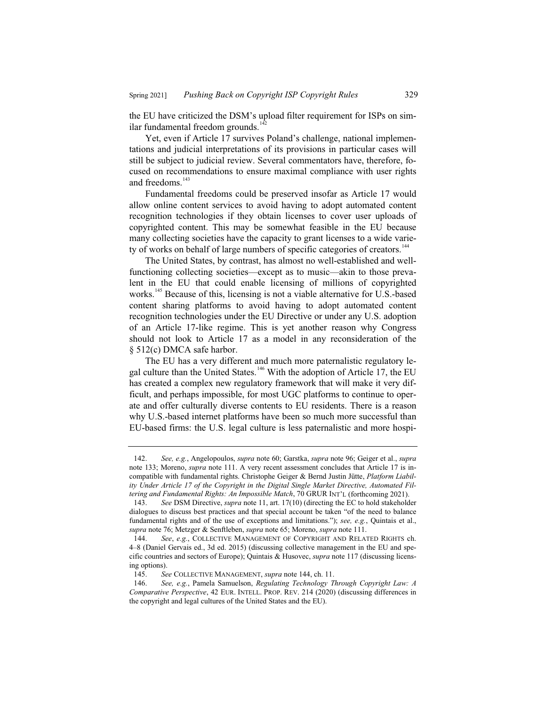the EU have criticized the DSM's upload filter requirement for ISPs on similar fundamental freedom grounds.<sup>142</sup>

Yet, even if Article 17 survives Poland's challenge, national implementations and judicial interpretations of its provisions in particular cases will still be subject to judicial review. Several commentators have, therefore, focused on recommendations to ensure maximal compliance with user rights and freedoms.<sup>143</sup>

Fundamental freedoms could be preserved insofar as Article 17 would allow online content services to avoid having to adopt automated content recognition technologies if they obtain licenses to cover user uploads of copyrighted content. This may be somewhat feasible in the EU because many collecting societies have the capacity to grant licenses to a wide variety of works on behalf of large numbers of specific categories of creators.<sup>144</sup>

The United States, by contrast, has almost no well-established and wellfunctioning collecting societies—except as to music—akin to those prevalent in the EU that could enable licensing of millions of copyrighted works.<sup>145</sup> Because of this, licensing is not a viable alternative for U.S.-based content sharing platforms to avoid having to adopt automated content recognition technologies under the EU Directive or under any U.S. adoption of an Article 17-like regime. This is yet another reason why Congress should not look to Article 17 as a model in any reconsideration of the § 512(c) DMCA safe harbor.

The EU has a very different and much more paternalistic regulatory legal culture than the United States.<sup>146</sup> With the adoption of Article 17, the EU has created a complex new regulatory framework that will make it very difficult, and perhaps impossible, for most UGC platforms to continue to operate and offer culturally diverse contents to EU residents. There is a reason why U.S.-based internet platforms have been so much more successful than EU-based firms: the U.S. legal culture is less paternalistic and more hospi-

<sup>142.</sup> *See, e.g.*, Angelopoulos, *supra* note 60; Garstka, *supra* note 96; Geiger et al., *supra* note 133; Moreno, *supra* note 111. A very recent assessment concludes that Article 17 is incompatible with fundamental rights. Christophe Geiger & Bernd Justin Jütte, *Platform Liability Under Article 17 of the Copyright in the Digital Single Market Directive, Automated Filtering and Fundamental Rights: An Impossible Match*, 70 GRUR INT'L (forthcoming 2021).

<sup>143.</sup> *See* DSM Directive, *supra* note 11, art. 17(10) (directing the EC to hold stakeholder dialogues to discuss best practices and that special account be taken "of the need to balance fundamental rights and of the use of exceptions and limitations."); *see, e.g.*, Quintais et al., *supra* note 76; Metzger & Senftleben, *supra* note 65; Moreno, *supra* note 111.

<sup>144.</sup> *See*, *e.g.*, COLLECTIVE MANAGEMENT OF COPYRIGHT AND RELATED RIGHTS ch. 4–8 (Daniel Gervais ed., 3d ed. 2015) (discussing collective management in the EU and specific countries and sectors of Europe); Quintais & Husovec, *supra* note 117 (discussing licensing options).

<sup>145.</sup> *See* COLLECTIVE MANAGEMENT, *supra* note 144, ch. 11.

<sup>146.</sup> *See, e.g.*, Pamela Samuelson, *Regulating Technology Through Copyright Law: A Comparative Perspective*, 42 EUR. INTELL. PROP. REV. 214 (2020) (discussing differences in the copyright and legal cultures of the United States and the EU).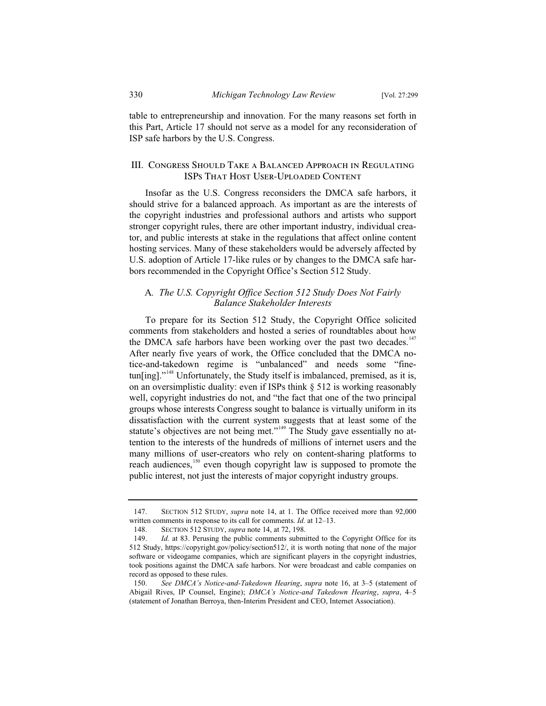table to entrepreneurship and innovation. For the many reasons set forth in this Part, Article 17 should not serve as a model for any reconsideration of ISP safe harbors by the U.S. Congress.

### III. Congress Should Take a Balanced Approach in Regulating ISPs That Host User-Uploaded Content

Insofar as the U.S. Congress reconsiders the DMCA safe harbors, it should strive for a balanced approach. As important as are the interests of the copyright industries and professional authors and artists who support stronger copyright rules, there are other important industry, individual creator, and public interests at stake in the regulations that affect online content hosting services. Many of these stakeholders would be adversely affected by U.S. adoption of Article 17-like rules or by changes to the DMCA safe harbors recommended in the Copyright Office's Section 512 Study.

## A*. The U.S. Copyright Office Section 512 Study Does Not Fairly Balance Stakeholder Interests*

To prepare for its Section 512 Study, the Copyright Office solicited comments from stakeholders and hosted a series of roundtables about how the DMCA safe harbors have been working over the past two decades.<sup>147</sup> After nearly five years of work, the Office concluded that the DMCA notice-and-takedown regime is "unbalanced" and needs some "finetun[ing]."<sup>148</sup> Unfortunately, the Study itself is imbalanced, premised, as it is, on an oversimplistic duality: even if ISPs think § 512 is working reasonably well, copyright industries do not, and "the fact that one of the two principal groups whose interests Congress sought to balance is virtually uniform in its dissatisfaction with the current system suggests that at least some of the statute's objectives are not being met."<sup>149</sup> The Study gave essentially no attention to the interests of the hundreds of millions of internet users and the many millions of user-creators who rely on content-sharing platforms to reach audiences,<sup>150</sup> even though copyright law is supposed to promote the public interest, not just the interests of major copyright industry groups.

<sup>147.</sup> SECTION 512 STUDY, *supra* note 14, at 1. The Office received more than 92,000 written comments in response to its call for comments. *Id.* at 12–13.

<sup>148.</sup> SECTION 512 STUDY, *supra* note 14, at 72, 198.

<sup>149.</sup> *Id.* at 83. Perusing the public comments submitted to the Copyright Office for its 512 Study, https://copyright.gov/policy/section512/, it is worth noting that none of the major software or videogame companies, which are significant players in the copyright industries, took positions against the DMCA safe harbors. Nor were broadcast and cable companies on record as opposed to these rules.

<sup>150.</sup> *See DMCA's Notice-and-Takedown Hearing*, *supra* note 16, at 3–5 (statement of Abigail Rives, IP Counsel, Engine); *DMCA's Notice-and Takedown Hearing*, *supra*, 4–5 (statement of Jonathan Berroya, then-Interim President and CEO, Internet Association).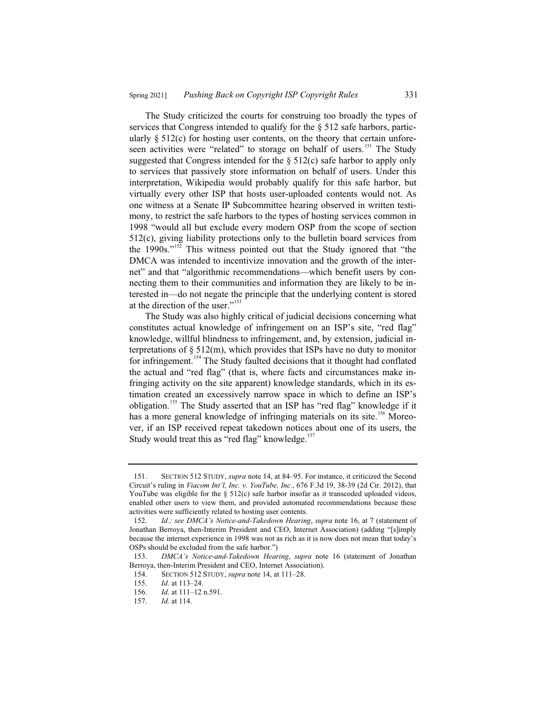The Study criticized the courts for construing too broadly the types of services that Congress intended to qualify for the § 512 safe harbors, particularly  $\S$  512(c) for hosting user contents, on the theory that certain unforeseen activities were "related" to storage on behalf of users.<sup>151</sup> The Study suggested that Congress intended for the  $\S$  512(c) safe harbor to apply only to services that passively store information on behalf of users. Under this interpretation, Wikipedia would probably qualify for this safe harbor, but virtually every other ISP that hosts user-uploaded contents would not. As one witness at a Senate IP Subcommittee hearing observed in written testimony, to restrict the safe harbors to the types of hosting services common in 1998 "would all but exclude every modern OSP from the scope of section 512(c), giving liability protections only to the bulletin board services from the  $1990s$ ."<sup>152</sup> This witness pointed out that the Study ignored that "the DMCA was intended to incentivize innovation and the growth of the internet" and that "algorithmic recommendations—which benefit users by connecting them to their communities and information they are likely to be interested in—do not negate the principle that the underlying content is stored at the direction of the user."<sup>153</sup>

The Study was also highly critical of judicial decisions concerning what constitutes actual knowledge of infringement on an ISP's site, "red flag" knowledge, willful blindness to infringement, and, by extension, judicial interpretations of  $\S$  512(m), which provides that ISPs have no duty to monitor for infringement.<sup>154</sup> The Study faulted decisions that it thought had conflated the actual and "red flag" (that is, where facts and circumstances make infringing activity on the site apparent) knowledge standards, which in its estimation created an excessively narrow space in which to define an ISP's obligation.<sup>155</sup> The Study asserted that an ISP has "red flag" knowledge if it has a more general knowledge of infringing materials on its site.<sup>156</sup> Moreover, if an ISP received repeat takedown notices about one of its users, the Study would treat this as "red flag" knowledge.<sup>157</sup>

<sup>151.</sup> SECTION 512 STUDY, *supra* note 14, at 84–95. For instance, it criticized the Second Circuit's ruling in *Viacom Int'l, Inc. v. YouTube, Inc.*, 676 F.3d 19, 38-39 (2d Cir. 2012), that YouTube was eligible for the  $\S$  512(c) safe harbor insofar as it transcoded uploaded videos, enabled other users to view them, and provided automated recommendations because these activities were sufficiently related to hosting user contents.

<sup>152.</sup> *Id.; see DMCA's Notice-and-Takedown Hearing*, *supra* note 16, at 7 (statement of Jonathan Berroya, then-Interim President and CEO, Internet Association) (adding "[s]imply because the internet experience in 1998 was not as rich as it is now does not mean that today's OSPs should be excluded from the safe harbor.")

<sup>153.</sup> *DMCA's Notice-and-Takedown Hearing*, *supra* note 16 (statement of Jonathan Berroya, then-Interim President and CEO, Internet Association).

<sup>154.</sup> SECTION 512 STUDY, *supra* note 14, at 111–28.

<sup>155.</sup> *Id.* at 113–24.

Id. at 111-12 n.591.

<sup>157.</sup> *Id.* at 114.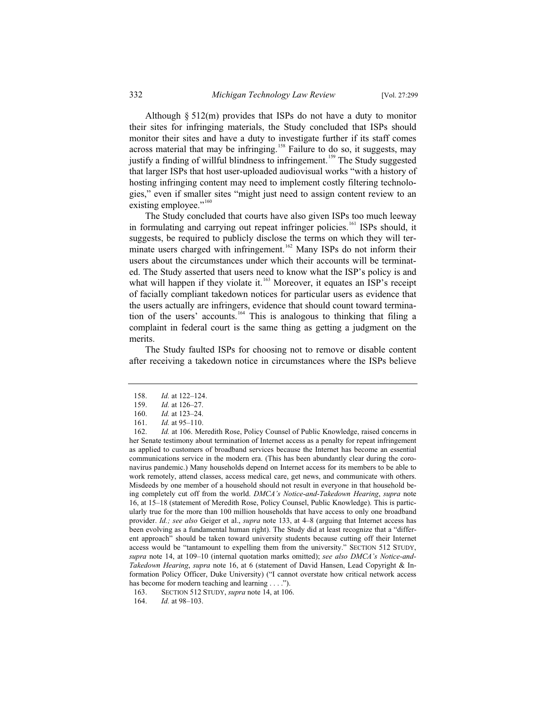Although § 512(m) provides that ISPs do not have a duty to monitor their sites for infringing materials, the Study concluded that ISPs should monitor their sites and have a duty to investigate further if its staff comes across material that may be infringing.<sup>158</sup> Failure to do so, it suggests, may justify a finding of willful blindness to infringement.<sup>159</sup> The Study suggested that larger ISPs that host user-uploaded audiovisual works "with a history of hosting infringing content may need to implement costly filtering technologies," even if smaller sites "might just need to assign content review to an existing employee."<sup>160</sup>

The Study concluded that courts have also given ISPs too much leeway in formulating and carrying out repeat infringer policies.<sup>161</sup> ISPs should, it suggests, be required to publicly disclose the terms on which they will terminate users charged with infringement.<sup>162</sup> Many ISPs do not inform their users about the circumstances under which their accounts will be terminated. The Study asserted that users need to know what the ISP's policy is and what will happen if they violate it.<sup>163</sup> Moreover, it equates an ISP's receipt of facially compliant takedown notices for particular users as evidence that the users actually are infringers, evidence that should count toward termination of the users' accounts.<sup>164</sup> This is analogous to thinking that filing a complaint in federal court is the same thing as getting a judgment on the merits.

The Study faulted ISPs for choosing not to remove or disable content after receiving a takedown notice in circumstances where the ISPs believe

<sup>158.</sup> *Id.* at 122–124.

<sup>159.</sup> *Id.* at 126–27.

<sup>160.</sup> *Id.* at 123–24.

<sup>161.</sup> *Id.* at 95–110.<br>162. *Id.* at 106. Me

Id. at 106. Meredith Rose, Policy Counsel of Public Knowledge, raised concerns in her Senate testimony about termination of Internet access as a penalty for repeat infringement as applied to customers of broadband services because the Internet has become an essential communications service in the modern era. (This has been abundantly clear during the coronavirus pandemic.) Many households depend on Internet access for its members to be able to work remotely, attend classes, access medical care, get news, and communicate with others. Misdeeds by one member of a household should not result in everyone in that household being completely cut off from the world. *DMCA's Notice-and-Takedown Hearing*, *supra* note 16, at 15–18 (statement of Meredith Rose, Policy Counsel, Public Knowledge). This is particularly true for the more than 100 million households that have access to only one broadband provider. *Id.; see also* Geiger et al., *supra* note 133, at 4–8 (arguing that Internet access has been evolving as a fundamental human right). The Study did at least recognize that a "different approach" should be taken toward university students because cutting off their Internet access would be "tantamount to expelling them from the university." SECTION 512 STUDY, *supra* note 14, at 109–10 (internal quotation marks omitted); *see also DMCA's Notice-and-Takedown Hearing*, *supra* note 16, at 6 (statement of David Hansen, Lead Copyright & Information Policy Officer, Duke University) ("I cannot overstate how critical network access has become for modern teaching and learning . . . .").

<sup>163.</sup> SECTION 512 STUDY, *supra* note 14, at 106.

<sup>164.</sup> *Id.* at 98–103.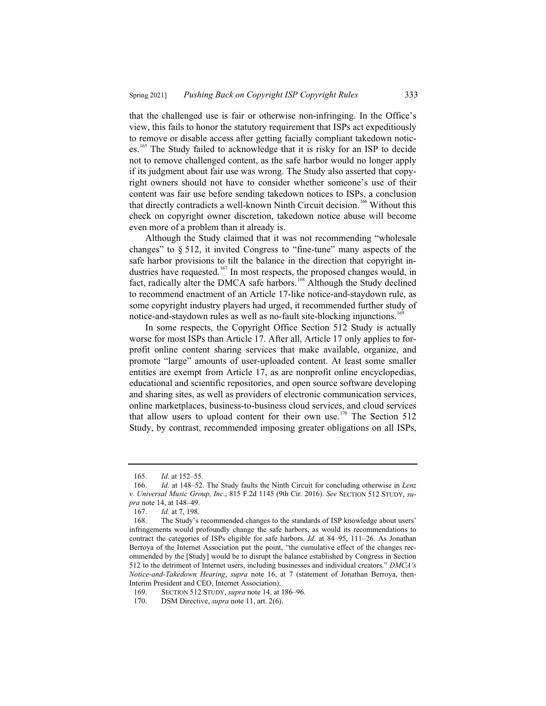that the challenged use is fair or otherwise non-infringing. In the Office's view, this fails to honor the statutory requirement that ISPs act expeditiously to remove or disable access after getting facially compliant takedown notices.<sup>165</sup> The Study failed to acknowledge that it is risky for an ISP to decide not to remove challenged content, as the safe harbor would no longer apply if its judgment about fair use was wrong. The Study also asserted that copyright owners should not have to consider whether someone's use of their content was fair use before sending takedown notices to ISPs, a conclusion that directly contradicts a well-known Ninth Circuit decision.<sup>166</sup> Without this check on copyright owner discretion, takedown notice abuse will become even more of a problem than it already is.

Although the Study claimed that it was not recommending "wholesale changes" to § 512, it invited Congress to "fine-tune" many aspects of the safe harbor provisions to tilt the balance in the direction that copyright industries have requested.<sup>167</sup> In most respects, the proposed changes would, in fact, radically alter the DMCA safe harbors.<sup>168</sup> Although the Study declined to recommend enactment of an Article 17-like notice-and-staydown rule, as some copyright industry players had urged, it recommended further study of notice-and-staydown rules as well as no-fault site-blocking injunctions.<sup>169</sup>

In some respects, the Copyright Office Section 512 Study is actually worse for most ISPs than Article 17. After all, Article 17 only applies to forprofit online content sharing services that make available, organize, and promote "large" amounts of user-uploaded content. At least some smaller entities are exempt from Article 17, as are nonprofit online encyclopedias, educational and scientific repositories, and open source software developing and sharing sites, as well as providers of electronic communication services, online marketplaces, business-to-business cloud services, and cloud services that allow users to upload content for their own use.<sup>170</sup> The Section 512 Study, by contrast, recommended imposing greater obligations on all ISPs,

<sup>165.</sup> *Id.* at 152–55.<br>166. *Id.* at 148–52.

<sup>166.</sup> *Id.* at 148–52. The Study faults the Ninth Circuit for concluding otherwise in *Lenz v. Universal Music Group, Inc*., 815 F.2d 1145 (9th Cir. 2016). *See* SECTION 512 STUDY, *supra* note 14, at 148–49.<br>167. *Id.* at 7, 198.

Id. at 7, 198.

<sup>168.</sup> The Study's recommended changes to the standards of ISP knowledge about users' infringements would profoundly change the safe harbors, as would its recommendations to contract the categories of ISPs eligible for safe harbors. *Id.* at 84–95, 111–26. As Jonathan Berroya of the Internet Association put the point, "the cumulative effect of the changes recommended by the [Study] would be to disrupt the balance established by Congress in Section 512 to the detriment of Internet users, including businesses and individual creators." *DMCA's Notice-and-Takedown Hearing*, *supra* note 16, at 7 (statement of Jonathan Berroya, then-Interim President and CEO, Internet Association).

<sup>169.</sup> SECTION 512 STUDY, *supra* note 14, at 186–96.

<sup>170.</sup> DSM Directive, *supra* note 11, art. 2(6).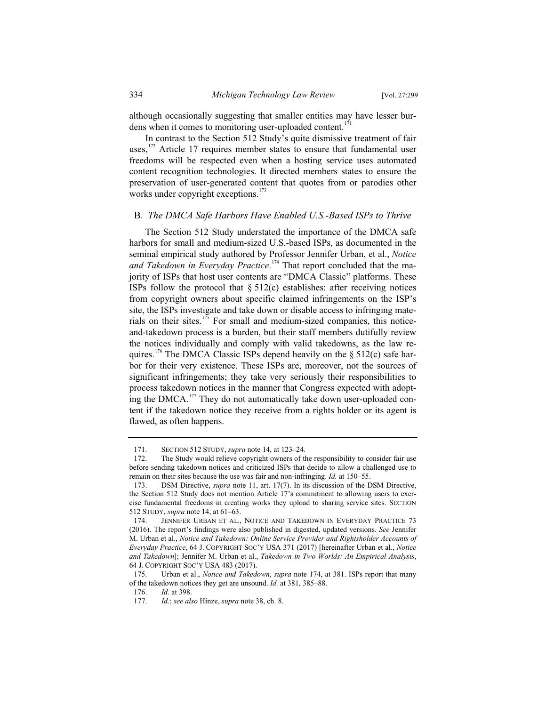although occasionally suggesting that smaller entities may have lesser burdens when it comes to monitoring user-uploaded content.<sup>171</sup>

In contrast to the Section 512 Study's quite dismissive treatment of fair uses, $17$ <sup>172</sup> Article 17 requires member states to ensure that fundamental user freedoms will be respected even when a hosting service uses automated content recognition technologies. It directed members states to ensure the preservation of user-generated content that quotes from or parodies other works under copyright exceptions.<sup>173</sup>

#### B*. The DMCA Safe Harbors Have Enabled U.S.-Based ISPs to Thrive*

The Section 512 Study understated the importance of the DMCA safe harbors for small and medium-sized U.S.-based ISPs, as documented in the seminal empirical study authored by Professor Jennifer Urban, et al., *Notice and Takedown in Everyday Practice*. <sup>174</sup> That report concluded that the majority of ISPs that host user contents are "DMCA Classic" platforms. These ISPs follow the protocol that  $\S 512(c)$  establishes: after receiving notices from copyright owners about specific claimed infringements on the ISP's site, the ISPs investigate and take down or disable access to infringing materials on their sites.<sup>175</sup> For small and medium-sized companies, this noticeand-takedown process is a burden, but their staff members dutifully review the notices individually and comply with valid takedowns, as the law requires.<sup>176</sup> The DMCA Classic ISPs depend heavily on the  $\S 512(c)$  safe harbor for their very existence. These ISPs are, moreover, not the sources of significant infringements; they take very seriously their responsibilities to process takedown notices in the manner that Congress expected with adopting the DMCA.<sup>177</sup> They do not automatically take down user-uploaded content if the takedown notice they receive from a rights holder or its agent is flawed, as often happens.

<sup>171.</sup> SECTION 512 STUDY, *supra* note 14, at 123–24.

<sup>172.</sup> The Study would relieve copyright owners of the responsibility to consider fair use before sending takedown notices and criticized ISPs that decide to allow a challenged use to remain on their sites because the use was fair and non-infringing. *Id.* at 150–55.

<sup>173.</sup> DSM Directive, *supra* note 11, art. 17(7). In its discussion of the DSM Directive, the Section 512 Study does not mention Article 17's commitment to allowing users to exercise fundamental freedoms in creating works they upload to sharing service sites. SECTION 512 STUDY, *supra* note 14, at 61–63.

<sup>174.</sup> JENNIFER URBAN ET AL., NOTICE AND TAKEDOWN IN EVERYDAY PRACTICE 73 (2016). The report's findings were also published in digested, updated versions. *See* Jennifer M. Urban et al., *Notice and Takedown: Online Service Provider and Rightsholder Accounts of Everyday Practice*, 64 J. COPYRIGHT SOC'Y USA 371 (2017) [hereinafter Urban et al., *Notice and Takedown*]; Jennifer M. Urban et al., *Takedown in Two Worlds: An Empirical Analysis*, 64 J. COPYRIGHT SOC'Y USA 483 (2017).

<sup>175.</sup> Urban et al., *Notice and Takedown*, *supra* note 174, at 381. ISPs report that many of the takedown notices they get are unsound. *Id.* at 381, 385–88.

<sup>176.</sup> *Id.* at 398.

<sup>177.</sup> *Id.*; *see also* Hinze, *supra* note 38, ch. 8.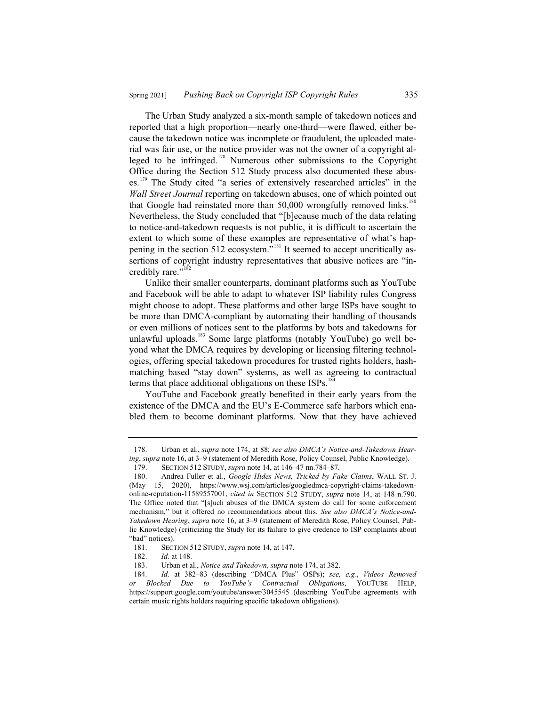The Urban Study analyzed a six-month sample of takedown notices and reported that a high proportion—nearly one-third—were flawed, either because the takedown notice was incomplete or fraudulent, the uploaded material was fair use, or the notice provider was not the owner of a copyright alleged to be infringed.<sup>178</sup> Numerous other submissions to the Copyright Office during the Section 512 Study process also documented these abuses.<sup>179</sup> The Study cited "a series of extensively researched articles" in the *Wall Street Journal* reporting on takedown abuses, one of which pointed out that Google had reinstated more than  $50,000$  wrongfully removed links.<sup>180</sup> Nevertheless, the Study concluded that "[b]ecause much of the data relating to notice-and-takedown requests is not public, it is difficult to ascertain the extent to which some of these examples are representative of what's happening in the section 512 ecosystem."<sup>181</sup> It seemed to accept uncritically assertions of copyright industry representatives that abusive notices are "incredibly rare."<sup>18</sup>

Unlike their smaller counterparts, dominant platforms such as YouTube and Facebook will be able to adapt to whatever ISP liability rules Congress might choose to adopt. These platforms and other large ISPs have sought to be more than DMCA-compliant by automating their handling of thousands or even millions of notices sent to the platforms by bots and takedowns for unlawful uploads.<sup>183</sup> Some large platforms (notably YouTube) go well beyond what the DMCA requires by developing or licensing filtering technologies, offering special takedown procedures for trusted rights holders, hashmatching based "stay down" systems, as well as agreeing to contractual terms that place additional obligations on these  $ISPs$ .<sup>184</sup>

YouTube and Facebook greatly benefited in their early years from the existence of the DMCA and the EU's E-Commerce safe harbors which enabled them to become dominant platforms. Now that they have achieved

<sup>178.</sup> Urban et al., *supra* note 174, at 88; *see also DMCA's Notice-and-Takedown Hearing*, *supra* note 16, at 3–9 (statement of Meredith Rose, Policy Counsel, Public Knowledge).

<sup>179.</sup> SECTION 512 STUDY, *supra* note 14, at 146–47 nn.784–87.

<sup>180.</sup> Andrea Fuller et al., *Google Hides News, Tricked by Fake Claims*, WALL ST. J. 15, 2020), https://www.wsj.com/articles/googledmca-copyright-claims-takedownonline-reputation-11589557001, *cited in* SECTION 512 STUDY, *supra* note 14, at 148 n.790. The Office noted that "[s]uch abuses of the DMCA system do call for some enforcement mechanism," but it offered no recommendations about this. *See also DMCA's Notice-and-Takedown Hearing*, *supra* note 16, at 3–9 (statement of Meredith Rose, Policy Counsel, Public Knowledge) (criticizing the Study for its failure to give credence to ISP complaints about "bad" notices).

<sup>181.</sup> SECTION 512 STUDY, *supra* note 14, at 147.

<sup>182.</sup> *Id.* at 148.

<sup>183.</sup> Urban et al., *Notice and Takedown*, *supra* note 174, at 382.

<sup>184.</sup> *Id.* at 382–83 (describing "DMCA Plus" OSPs); *see, e.g.*, *Videos Removed or Blocked Due to YouTube's Contractual Obligations*, YOUTUBE HELP, https://support.google.com/youtube/answer/3045545 (describing YouTube agreements with certain music rights holders requiring specific takedown obligations).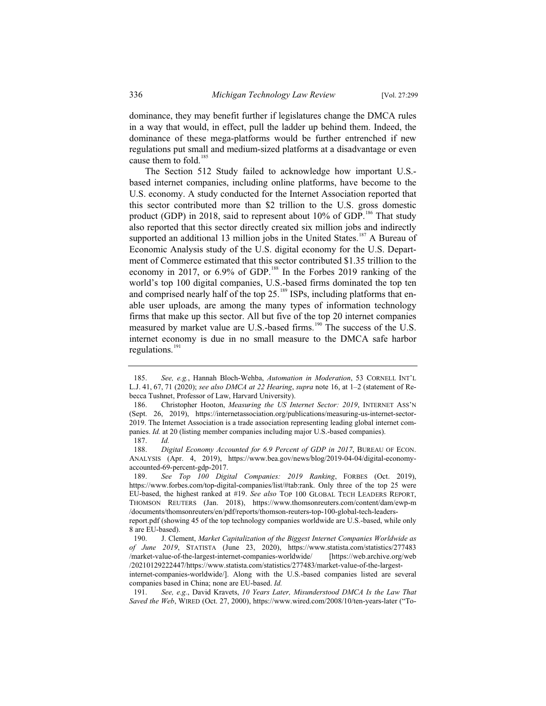dominance, they may benefit further if legislatures change the DMCA rules in a way that would, in effect, pull the ladder up behind them. Indeed, the dominance of these mega-platforms would be further entrenched if new regulations put small and medium-sized platforms at a disadvantage or even cause them to fold.<sup>185</sup>

The Section 512 Study failed to acknowledge how important U.S. based internet companies, including online platforms, have become to the U.S. economy. A study conducted for the Internet Association reported that this sector contributed more than \$2 trillion to the U.S. gross domestic product (GDP) in 2018, said to represent about  $10\%$  of GDP.<sup>186</sup> That study also reported that this sector directly created six million jobs and indirectly supported an additional 13 million jobs in the United States.<sup>187</sup> A Bureau of Economic Analysis study of the U.S. digital economy for the U.S. Department of Commerce estimated that this sector contributed \$1.35 trillion to the economy in 2017, or  $6.9\%$  of GDP.<sup>188</sup> In the Forbes 2019 ranking of the world's top 100 digital companies, U.S.-based firms dominated the top ten and comprised nearly half of the top  $25$ .<sup>189</sup> ISPs, including platforms that enable user uploads, are among the many types of information technology firms that make up this sector. All but five of the top 20 internet companies measured by market value are U.S.-based firms.<sup>190</sup> The success of the U.S. internet economy is due in no small measure to the DMCA safe harbor regulations.<sup>191</sup>

<sup>185.</sup> *See, e.g.*, Hannah Bloch-Wehba, *Automation in Moderation*, 53 CORNELL INT'L L.J. 41, 67, 71 (2020); *see also DMCA at 22 Hearing*, *supra* note 16, at 1–2 (statement of Rebecca Tushnet, Professor of Law, Harvard University).

<sup>186.</sup> Christopher Hooton, *Measuring the US Internet Sector: 2019*, INTERNET ASS'N (Sept. 26, 2019), https://internetassociation.org/publications/measuring-us-internet-sector-2019. The Internet Association is a trade association representing leading global internet companies. *Id.* at 20 (listing member companies including major U.S.-based companies).

<sup>187.</sup> *Id.*

<sup>188.</sup> *Digital Economy Accounted for 6.9 Percent of GDP in 2017*, BUREAU OF ECON. ANALYSIS (Apr. 4, 2019), https://www.bea.gov/news/blog/2019-04-04/digital-economyaccounted-69-percent-gdp-2017.

<sup>189.</sup> *See Top 100 Digital Companies: 2019 Ranking*, FORBES (Oct. 2019), https://www.forbes.com/top-digital-companies/list/#tab:rank. Only three of the top 25 were EU-based, the highest ranked at #19. *See also* TOP 100 GLOBAL TECH LEADERS REPORT, THOMSON REUTERS (Jan. 2018), https://www.thomsonreuters.com/content/dam/ewp-m /documents/thomsonreuters/en/pdf/reports/thomson-reuters-top-100-global-tech-leaders-

report.pdf (showing 45 of the top technology companies worldwide are U.S.-based, while only 8 are EU-based).<br>190. J. Cler

<sup>190.</sup> J. Clement, *Market Capitalization of the Biggest Internet Companies Worldwide as of June 2019*, STATISTA (June 23, 2020), https://www.statista.com/statistics/277483 /market-value-of-the-largest-internet-companies-worldwide/ [https://web.archive.org/web /20210129222447/https://www.statista.com/statistics/277483/market-value-of-the-largest-

internet-companies-worldwide/]. Along with the U.S.-based companies listed are several companies based in China; none are EU-based. *Id.*

<sup>191.</sup> *See, e.g.*, David Kravets, *10 Years Later, Misunderstood DMCA Is the Law That Saved the Web*, WIRED (Oct. 27, 2000), https://www.wired.com/2008/10/ten-years-later ("To-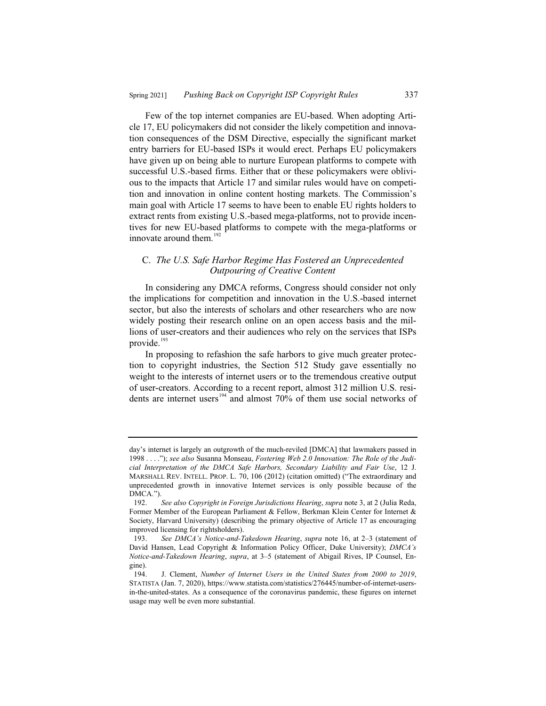Few of the top internet companies are EU-based. When adopting Article 17, EU policymakers did not consider the likely competition and innovation consequences of the DSM Directive, especially the significant market entry barriers for EU-based ISPs it would erect. Perhaps EU policymakers have given up on being able to nurture European platforms to compete with successful U.S.-based firms. Either that or these policymakers were oblivious to the impacts that Article 17 and similar rules would have on competition and innovation in online content hosting markets. The Commission's main goal with Article 17 seems to have been to enable EU rights holders to extract rents from existing U.S.-based mega-platforms, not to provide incentives for new EU-based platforms to compete with the mega-platforms or innovate around them. $192$ 

### C. *The U.S. Safe Harbor Regime Has Fostered an Unprecedented Outpouring of Creative Content*

In considering any DMCA reforms, Congress should consider not only the implications for competition and innovation in the U.S.-based internet sector, but also the interests of scholars and other researchers who are now widely posting their research online on an open access basis and the millions of user-creators and their audiences who rely on the services that ISPs provide.<sup>193</sup>

In proposing to refashion the safe harbors to give much greater protection to copyright industries, the Section 512 Study gave essentially no weight to the interests of internet users or to the tremendous creative output of user-creators. According to a recent report, almost 312 million U.S. residents are internet users<sup>194</sup> and almost  $70\%$  of them use social networks of

day's internet is largely an outgrowth of the much-reviled [DMCA] that lawmakers passed in 1998 . . . ."); *see also* Susanna Monseau, *Fostering Web 2.0 Innovation: The Role of the Judicial Interpretation of the DMCA Safe Harbors, Secondary Liability and Fair Use*, 12 J. MARSHALL REV. INTELL. PROP. L. 70, 106 (2012) (citation omitted) ("The extraordinary and unprecedented growth in innovative Internet services is only possible because of the DMCA.").

<sup>192.</sup> *See also Copyright in Foreign Jurisdictions Hearing*, *supra* note 3, at 2 (Julia Reda, Former Member of the European Parliament & Fellow, Berkman Klein Center for Internet & Society, Harvard University) (describing the primary objective of Article 17 as encouraging improved licensing for rightsholders).

<sup>193.</sup> *See DMCA's Notice-and-Takedown Hearing*, *supra* note 16, at 2–3 (statement of David Hansen, Lead Copyright & Information Policy Officer, Duke University); *DMCA's Notice-and-Takedown Hearing*, *supra*, at 3–5 (statement of Abigail Rives, IP Counsel, Engine).

<sup>194.</sup> J. Clement, *Number of Internet Users in the United States from 2000 to 2019*, STATISTA (Jan. 7, 2020), https://www.statista.com/statistics/276445/number-of-internet-usersin-the-united-states. As a consequence of the coronavirus pandemic, these figures on internet usage may well be even more substantial.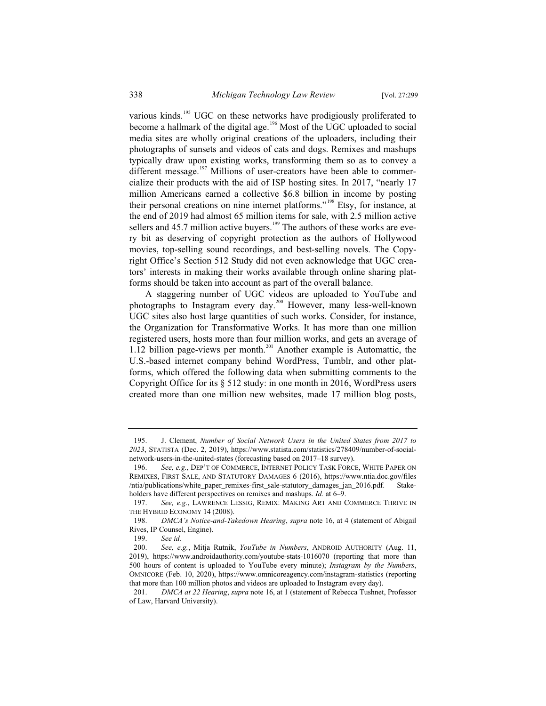various kinds.<sup>195</sup> UGC on these networks have prodigiously proliferated to become a hallmark of the digital age.<sup>196</sup> Most of the UGC uploaded to social media sites are wholly original creations of the uploaders, including their photographs of sunsets and videos of cats and dogs. Remixes and mashups typically draw upon existing works, transforming them so as to convey a different message.<sup>197</sup> Millions of user-creators have been able to commercialize their products with the aid of ISP hosting sites. In 2017, "nearly 17 million Americans earned a collective \$6.8 billion in income by posting their personal creations on nine internet platforms."<sup>198</sup> Etsy, for instance, at the end of 2019 had almost 65 million items for sale, with 2.5 million active sellers and  $45.7$  million active buyers.<sup>199</sup> The authors of these works are every bit as deserving of copyright protection as the authors of Hollywood movies, top-selling sound recordings, and best-selling novels. The Copyright Office's Section 512 Study did not even acknowledge that UGC creators' interests in making their works available through online sharing platforms should be taken into account as part of the overall balance.

A staggering number of UGC videos are uploaded to YouTube and photographs to Instagram every day.<sup>200</sup> However, many less-well-known UGC sites also host large quantities of such works. Consider, for instance, the Organization for Transformative Works. It has more than one million registered users, hosts more than four million works, and gets an average of 1.12 billion page-views per month.<sup>201</sup> Another example is Automattic, the U.S.-based internet company behind WordPress, Tumblr, and other platforms, which offered the following data when submitting comments to the Copyright Office for its § 512 study: in one month in 2016, WordPress users created more than one million new websites, made 17 million blog posts,

<sup>195.</sup> J. Clement, *Number of Social Network Users in the United States from 2017 to 2023*, STATISTA (Dec. 2, 2019), https://www.statista.com/statistics/278409/number-of-socialnetwork-users-in-the-united-states (forecasting based on 2017–18 survey).

<sup>196.</sup> *See, e.g.*, DEP'T OF COMMERCE, INTERNET POLICY TASK FORCE, WHITE PAPER ON REMIXES, FIRST SALE, AND STATUTORY DAMAGES 6 (2016), https://www.ntia.doc.gov/files /ntia/publications/white\_paper\_remixes-first\_sale-statutory\_damages\_jan\_2016.pdf. Stakeholders have different perspectives on remixes and mashups. *Id.* at 6–9.

<sup>197.</sup> *See, e.g.*, LAWRENCE LESSIG, REMIX: MAKING ART AND COMMERCE THRIVE IN THE HYBRID ECONOMY 14 (2008).

<sup>198.</sup> *DMCA's Notice-and-Takedown Hearing*, *supra* note 16, at 4 (statement of Abigail Rives, IP Counsel, Engine).<br>199. See id.

See *id.* 

<sup>200.</sup> *See, e.g.*, Mitja Rutnik, *YouTube in Numbers*, ANDROID AUTHORITY (Aug. 11, 2019), https://www.androidauthority.com/youtube-stats-1016070 (reporting that more than 500 hours of content is uploaded to YouTube every minute); *Instagram by the Numbers*, OMNICORE (Feb. 10, 2020), https://www.omnicoreagency.com/instagram-statistics (reporting that more than 100 million photos and videos are uploaded to Instagram every day).

<sup>201.</sup> *DMCA at 22 Hearing*, *supra* note 16, at 1 (statement of Rebecca Tushnet, Professor of Law, Harvard University).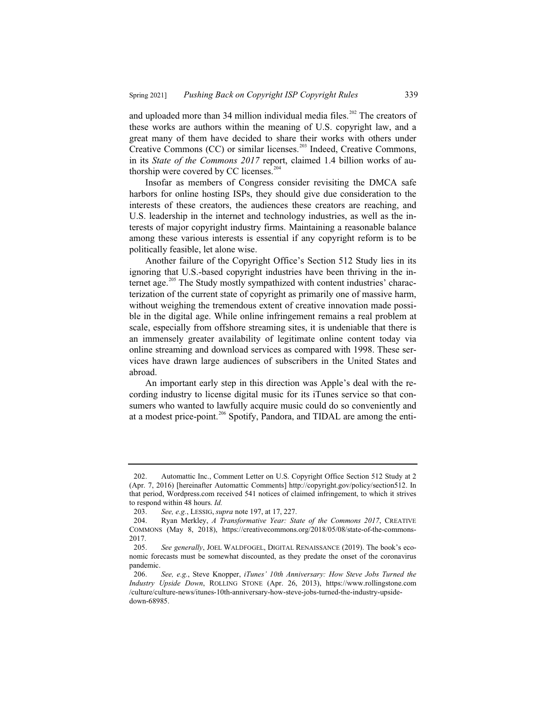and uploaded more than 34 million individual media files.<sup>202</sup> The creators of these works are authors within the meaning of U.S. copyright law, and a great many of them have decided to share their works with others under Creative Commons (CC) or similar licenses.<sup>203</sup> Indeed, Creative Commons, in its *State of the Commons 2017* report, claimed 1.4 billion works of authorship were covered by CC licenses.<sup>204</sup>

Insofar as members of Congress consider revisiting the DMCA safe harbors for online hosting ISPs, they should give due consideration to the interests of these creators, the audiences these creators are reaching, and U.S. leadership in the internet and technology industries, as well as the interests of major copyright industry firms. Maintaining a reasonable balance among these various interests is essential if any copyright reform is to be politically feasible, let alone wise.

Another failure of the Copyright Office's Section 512 Study lies in its ignoring that U.S.-based copyright industries have been thriving in the internet age. $205$  The Study mostly sympathized with content industries' characterization of the current state of copyright as primarily one of massive harm, without weighing the tremendous extent of creative innovation made possible in the digital age. While online infringement remains a real problem at scale, especially from offshore streaming sites, it is undeniable that there is an immensely greater availability of legitimate online content today via online streaming and download services as compared with 1998. These services have drawn large audiences of subscribers in the United States and abroad.

An important early step in this direction was Apple's deal with the recording industry to license digital music for its iTunes service so that consumers who wanted to lawfully acquire music could do so conveniently and at a modest price-point.<sup>206</sup> Spotify, Pandora, and TIDAL are among the enti-

<sup>202.</sup> Automattic Inc., Comment Letter on U.S. Copyright Office Section 512 Study at 2 (Apr. 7, 2016) [hereinafter Automattic Comments] http://copyright.gov/policy/section512. In that period, Wordpress.com received 541 notices of claimed infringement, to which it strives to respond within 48 hours. *Id.*

<sup>203.</sup> *See, e.g.*, LESSIG, *supra* note 197, at 17, 227.

<sup>204.</sup> Ryan Merkley, *A Transformative Year: State of the Commons 2017*, CREATIVE COMMONS (May 8, 2018), https://creativecommons.org/2018/05/08/state-of-the-commons-2017.

<sup>205.</sup> *See generally*, JOEL WALDFOGEL, DIGITAL RENAISSANCE (2019). The book's economic forecasts must be somewhat discounted, as they predate the onset of the coronavirus pandemic.

<sup>206.</sup> *See, e.g.*, Steve Knopper, *iTunes' 10th Anniversary: How Steve Jobs Turned the Industry Upside Down*, ROLLING STONE (Apr. 26, 2013), https://www.rollingstone.com /culture/culture-news/itunes-10th-anniversary-how-steve-jobs-turned-the-industry-upsidedown-68985.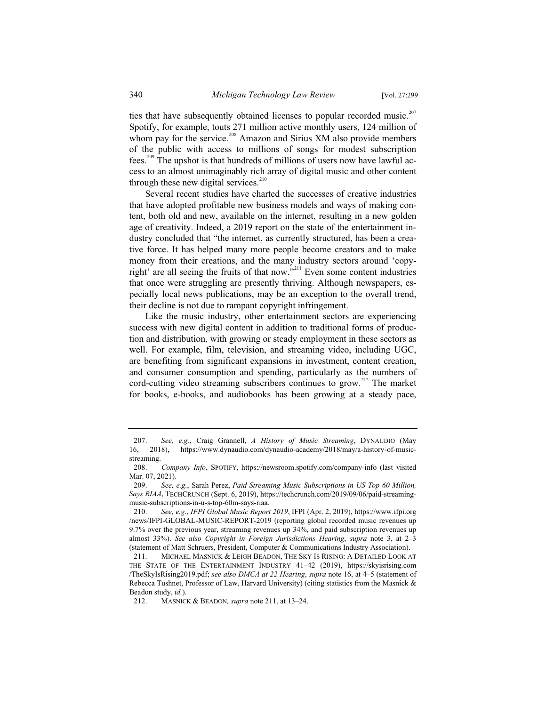ties that have subsequently obtained licenses to popular recorded music.<sup>207</sup> Spotify, for example, touts 271 million active monthly users, 124 million of whom pay for the service.<sup>208</sup> Amazon and Sirius XM also provide members of the public with access to millions of songs for modest subscription fees.<sup>209</sup> The upshot is that hundreds of millions of users now have lawful access to an almost unimaginably rich array of digital music and other content through these new digital services. $210$ 

Several recent studies have charted the successes of creative industries that have adopted profitable new business models and ways of making content, both old and new, available on the internet, resulting in a new golden age of creativity. Indeed, a 2019 report on the state of the entertainment industry concluded that "the internet, as currently structured, has been a creative force. It has helped many more people become creators and to make money from their creations, and the many industry sectors around 'copyright' are all seeing the fruits of that now."<sup>211</sup> Even some content industries that once were struggling are presently thriving. Although newspapers, especially local news publications, may be an exception to the overall trend, their decline is not due to rampant copyright infringement.

Like the music industry, other entertainment sectors are experiencing success with new digital content in addition to traditional forms of production and distribution, with growing or steady employment in these sectors as well. For example, film, television, and streaming video, including UGC, are benefiting from significant expansions in investment, content creation, and consumer consumption and spending, particularly as the numbers of cord-cutting video streaming subscribers continues to grow.<sup>212</sup> The market for books, e-books, and audiobooks has been growing at a steady pace,

<sup>207.</sup> *See, e.g.*, Craig Grannell, *A History of Music Streaming*, DYNAUDIO (May 16, 2018), https://www.dynaudio.com/dynaudio-academy/2018/may/a-history-of-musicstreaming.

<sup>208.</sup> *Company Info*, SPOTIFY, https://newsroom.spotify.com/company-info (last visited Mar. 07, 2021).

<sup>209.</sup> *See, e.g.*, Sarah Perez, *Paid Streaming Music Subscriptions in US Top 60 Million, Says RIAA*, TECHCRUNCH (Sept. 6, 2019), https://techcrunch.com/2019/09/06/paid-streamingmusic-subscriptions-in-u-s-top-60m-says-riaa.

<sup>210.</sup> *See, e.g.*, *IFPI Global Music Report 2019*, IFPI (Apr. 2, 2019), https://www.ifpi.org /news/IFPI-GLOBAL-MUSIC-REPORT-2019 (reporting global recorded music revenues up 9.7% over the previous year, streaming revenues up 34%, and paid subscription revenues up almost 33%). *See also Copyright in Foreign Jurisdictions Hearing*, *supra* note 3, at 2–3 (statement of Matt Schruers, President, Computer & Communications Industry Association).

<sup>211.</sup> MICHAEL MASNICK & LEIGH BEADON, THE SKY IS RISING: A DETAILED LOOK AT THE STATE OF THE ENTERTAINMENT INDUSTRY 41–42 (2019), https://skyisrising.com /TheSkyIsRising2019.pdf; *see also DMCA at 22 Hearing*, *supra* note 16, at 4–5 (statement of Rebecca Tushnet, Professor of Law, Harvard University) (citing statistics from the Masnick & Beadon study, *id.*).

<sup>212.</sup> MASNICK & BEADON*, supra* note 211, at 13–24.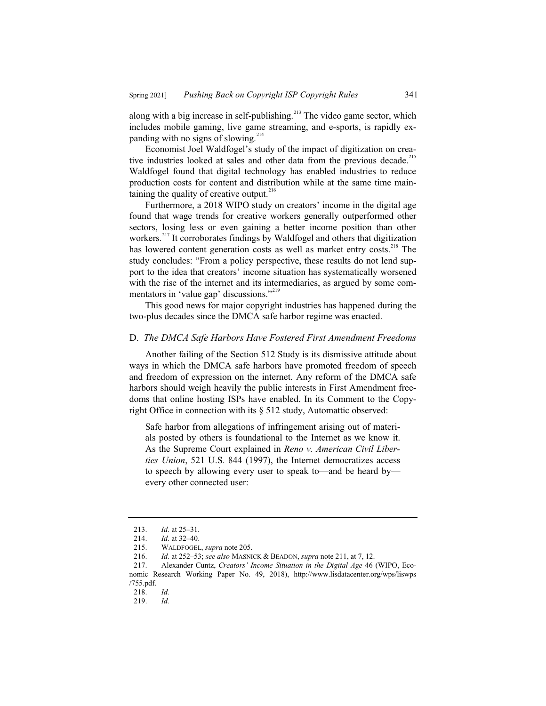along with a big increase in self-publishing.<sup>213</sup> The video game sector, which includes mobile gaming, live game streaming, and e-sports, is rapidly expanding with no signs of slowing.<sup>214</sup>

Economist Joel Waldfogel's study of the impact of digitization on creative industries looked at sales and other data from the previous decade.<sup>215</sup> Waldfogel found that digital technology has enabled industries to reduce production costs for content and distribution while at the same time maintaining the quality of creative output. $216$ 

Furthermore, a 2018 WIPO study on creators' income in the digital age found that wage trends for creative workers generally outperformed other sectors, losing less or even gaining a better income position than other workers.<sup>217</sup> It corroborates findings by Waldfogel and others that digitization has lowered content generation costs as well as market entry costs.<sup>218</sup> The study concludes: "From a policy perspective, these results do not lend support to the idea that creators' income situation has systematically worsened with the rise of the internet and its intermediaries, as argued by some commentators in 'value gap' discussions."<sup>219</sup>

This good news for major copyright industries has happened during the two-plus decades since the DMCA safe harbor regime was enacted.

#### D. *The DMCA Safe Harbors Have Fostered First Amendment Freedoms*

Another failing of the Section 512 Study is its dismissive attitude about ways in which the DMCA safe harbors have promoted freedom of speech and freedom of expression on the internet. Any reform of the DMCA safe harbors should weigh heavily the public interests in First Amendment freedoms that online hosting ISPs have enabled. In its Comment to the Copyright Office in connection with its § 512 study, Automattic observed:

Safe harbor from allegations of infringement arising out of materials posted by others is foundational to the Internet as we know it. As the Supreme Court explained in *Reno v. American Civil Liberties Union*, 521 U.S. 844 (1997), the Internet democratizes access to speech by allowing every user to speak to—and be heard by every other connected user:

<sup>213.</sup> *Id.* at 25–31.<br>214. *Id.* at 32–40.

<sup>214.</sup> *Id.* at 32–40.

<sup>215.</sup> WALDFOGEL, *supra* note 205.

<sup>216.</sup> *Id.* at 252–53; *see also* MASNICK & BEADON, *supra* note 211, at 7, 12.

<sup>217.</sup> Alexander Cuntz, *Creators' Income Situation in the Digital Age* 46 (WIPO, Economic Research Working Paper No. 49, 2018), http://www.lisdatacenter.org/wps/liswps /755.pdf.

<sup>218.</sup> *Id.*

<sup>219.</sup> *Id.*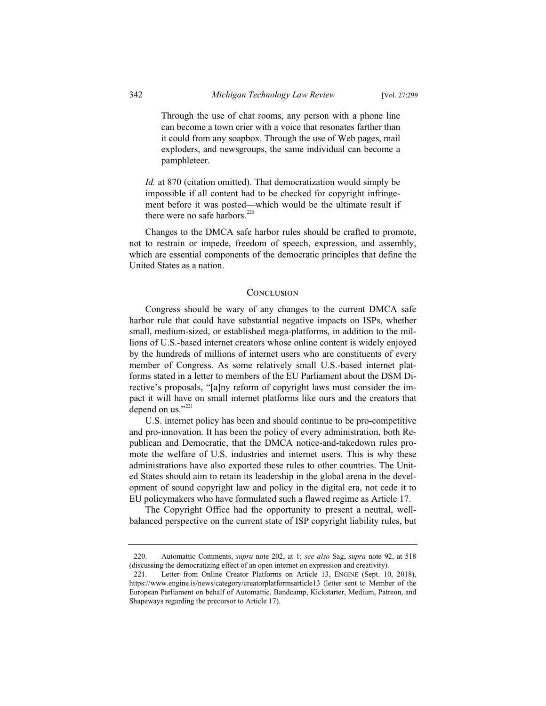Through the use of chat rooms, any person with a phone line can become a town crier with a voice that resonates farther than it could from any soapbox. Through the use of Web pages, mail exploders, and newsgroups, the same individual can become a pamphleteer.

*Id.* at 870 (citation omitted). That democratization would simply be impossible if all content had to be checked for copyright infringement before it was posted—which would be the ultimate result if there were no safe harbors. $220$ 

Changes to the DMCA safe harbor rules should be crafted to promote, not to restrain or impede, freedom of speech, expression, and assembly, which are essential components of the democratic principles that define the United States as a nation.

#### **CONCLUSION**

Congress should be wary of any changes to the current DMCA safe harbor rule that could have substantial negative impacts on ISPs, whether small, medium-sized, or established mega-platforms, in addition to the millions of U.S.-based internet creators whose online content is widely enjoyed by the hundreds of millions of internet users who are constituents of every member of Congress. As some relatively small U.S.-based internet platforms stated in a letter to members of the EU Parliament about the DSM Directive's proposals, "[a]ny reform of copyright laws must consider the impact it will have on small internet platforms like ours and the creators that depend on us."<sup>221</sup>

U.S. internet policy has been and should continue to be pro-competitive and pro-innovation. It has been the policy of every administration, both Republican and Democratic, that the DMCA notice-and-takedown rules promote the welfare of U.S. industries and internet users. This is why these administrations have also exported these rules to other countries. The United States should aim to retain its leadership in the global arena in the development of sound copyright law and policy in the digital era, not cede it to EU policymakers who have formulated such a flawed regime as Article 17.

The Copyright Office had the opportunity to present a neutral, wellbalanced perspective on the current state of ISP copyright liability rules, but

<sup>220.</sup> Automattic Comments, *supra* note 202, at 1; *see also* Sag, *supra* note 92, at 518 (discussing the democratizing effect of an open internet on expression and creativity).

<sup>221.</sup> Letter from Online Creator Platforms on Article 13, ENGINE (Sept. 10, 2018), https://www.engine.is/news/category/creatorplatformsarticle13 (letter sent to Member of the European Parliament on behalf of Automattic, Bandcamp, Kickstarter, Medium, Patreon, and Shapeways regarding the precursor to Article 17).